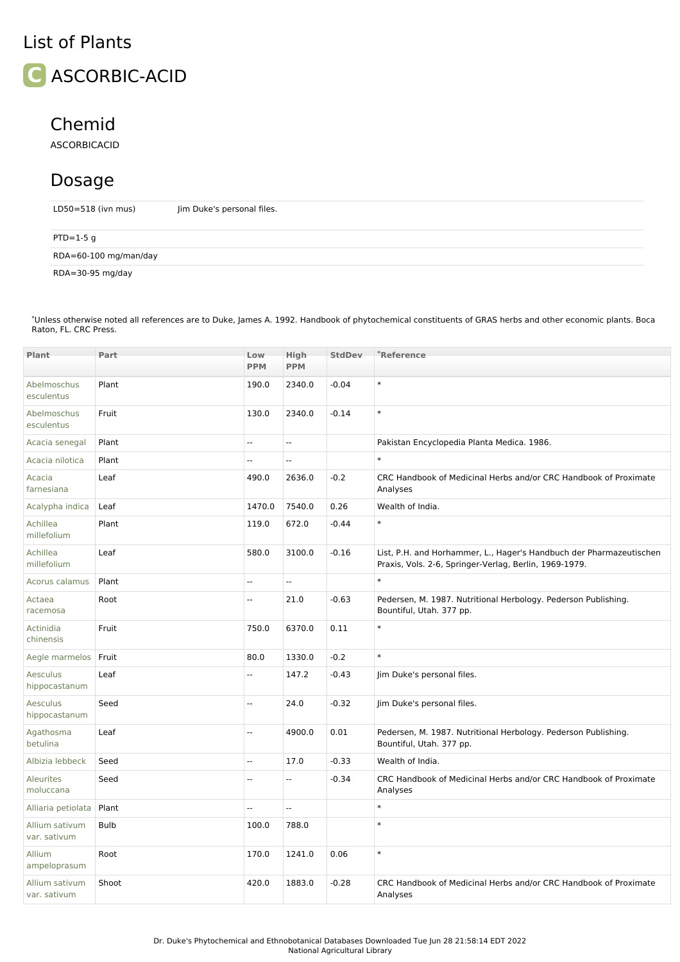## List of Plants



## Chemid

ASCORBICACID

## Dosage

LD50=518 (ivn mus) Jim Duke's personal files.

| $PTD=1-5$ g           |  |
|-----------------------|--|
| RDA=60-100 mg/man/day |  |
| RDA=30-95 mg/day      |  |

\*Unless otherwise noted all references are to Duke, James A. 1992. Handbook of phytochemical constituents of GRAS herbs and other economic plants. Boca Raton, FL. CRC Press.

| <b>Plant</b>                     | Part        | Low<br><b>PPM</b>        | <b>High</b><br><b>PPM</b> | <b>StdDev</b> | *Reference                                                                                                                    |
|----------------------------------|-------------|--------------------------|---------------------------|---------------|-------------------------------------------------------------------------------------------------------------------------------|
|                                  |             |                          |                           |               |                                                                                                                               |
| Abelmoschus<br>esculentus        | Plant       | 190.0                    | 2340.0                    | $-0.04$       | $\ast$                                                                                                                        |
| Abelmoschus<br>esculentus        | Fruit       | 130.0                    | 2340.0                    | $-0.14$       | $\ast$                                                                                                                        |
| Acacia senegal                   | Plant       | Щ,                       | Ξ.                        |               | Pakistan Encyclopedia Planta Medica. 1986.                                                                                    |
| Acacia nilotica                  | Plant       | --                       | Ξ.                        |               | $\ast$                                                                                                                        |
| Acacia<br>farnesiana             | Leaf        | 490.0                    | 2636.0                    | $-0.2$        | CRC Handbook of Medicinal Herbs and/or CRC Handbook of Proximate<br>Analyses                                                  |
| Acalypha indica                  | Leaf        | 1470.0                   | 7540.0                    | 0.26          | Wealth of India.                                                                                                              |
| Achillea<br>millefolium          | Plant       | 119.0                    | 672.0                     | $-0.44$       | $\ast$                                                                                                                        |
| Achillea<br>millefolium          | Leaf        | 580.0                    | 3100.0                    | $-0.16$       | List, P.H. and Horhammer, L., Hager's Handbuch der Pharmazeutischen<br>Praxis, Vols. 2-6, Springer-Verlag, Berlin, 1969-1979. |
| Acorus calamus                   | Plant       | $\overline{\phantom{a}}$ | Ξ.                        |               | $\ast$                                                                                                                        |
| Actaea<br>racemosa               | Root        | Ξ.                       | 21.0                      | $-0.63$       | Pedersen, M. 1987. Nutritional Herbology. Pederson Publishing.<br>Bountiful, Utah. 377 pp.                                    |
| Actinidia<br>chinensis           | Fruit       | 750.0                    | 6370.0                    | 0.11          | $\ast$                                                                                                                        |
| Aegle marmelos                   | Fruit       | 80.0                     | 1330.0                    | $-0.2$        | $\ast$                                                                                                                        |
| Aesculus<br>hippocastanum        | Leaf        | $\overline{\phantom{a}}$ | 147.2                     | $-0.43$       | Jim Duke's personal files.                                                                                                    |
| <b>Aesculus</b><br>hippocastanum | Seed        | $\overline{\phantom{a}}$ | 24.0                      | $-0.32$       | Jim Duke's personal files.                                                                                                    |
| Agathosma<br>betulina            | Leaf        | Щ,                       | 4900.0                    | 0.01          | Pedersen, M. 1987. Nutritional Herbology. Pederson Publishing.<br>Bountiful, Utah. 377 pp.                                    |
| Albizia lebbeck                  | Seed        | Щ,                       | 17.0                      | $-0.33$       | Wealth of India.                                                                                                              |
| <b>Aleurites</b><br>moluccana    | Seed        | ÷.                       | Ξ.                        | $-0.34$       | CRC Handbook of Medicinal Herbs and/or CRC Handbook of Proximate<br>Analyses                                                  |
| Alliaria petiolata               | Plant       | Щ,                       | Ξ.                        |               | $\ast$                                                                                                                        |
| Allium sativum<br>var. sativum   | <b>Bulb</b> | 100.0                    | 788.0                     |               | $\ast$                                                                                                                        |
| Allium<br>ampeloprasum           | Root        | 170.0                    | 1241.0                    | 0.06          | $\ast$                                                                                                                        |
| Allium sativum<br>var. sativum   | Shoot       | 420.0                    | 1883.0                    | $-0.28$       | CRC Handbook of Medicinal Herbs and/or CRC Handbook of Proximate<br>Analyses                                                  |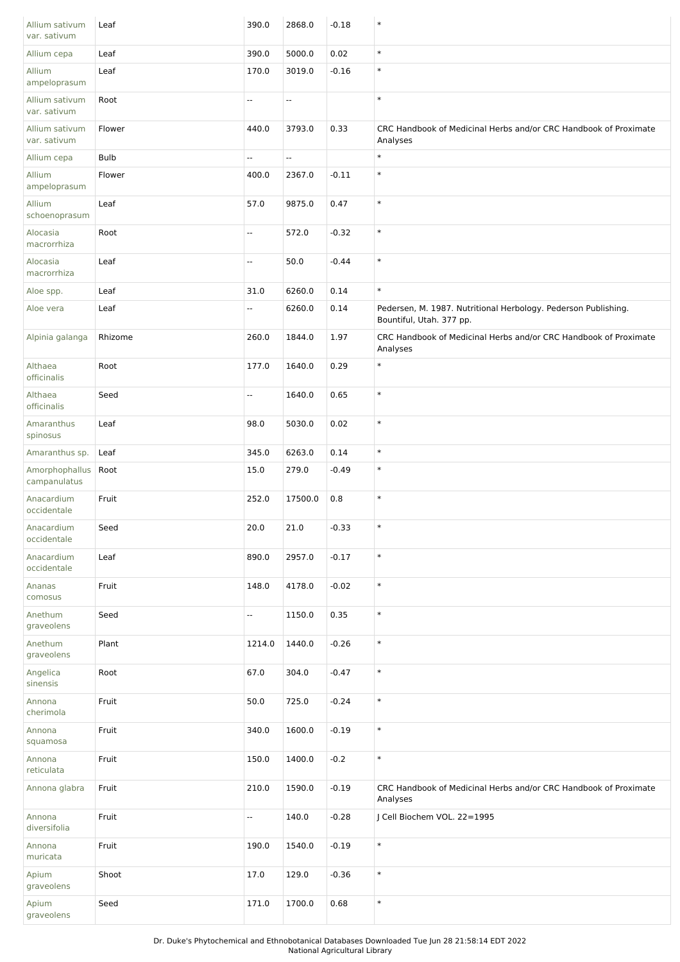| Allium sativum<br>var. sativum | Leaf    | 390.0                     | 2868.0                   | $-0.18$ | $\ast$                                                                                     |
|--------------------------------|---------|---------------------------|--------------------------|---------|--------------------------------------------------------------------------------------------|
| Allium cepa                    | Leaf    | 390.0                     | 5000.0                   | 0.02    | $\ast$                                                                                     |
| Allium<br>ampeloprasum         | Leaf    | 170.0                     | 3019.0                   | $-0.16$ | $\ast$                                                                                     |
| Allium sativum<br>var. sativum | Root    | --                        | $\overline{\phantom{a}}$ |         | $\ast$                                                                                     |
| Allium sativum<br>var. sativum | Flower  | 440.0                     | 3793.0                   | 0.33    | CRC Handbook of Medicinal Herbs and/or CRC Handbook of Proximate<br>Analyses               |
| Allium cepa                    | Bulb    | Щ,                        | $\overline{\phantom{a}}$ |         | $\ast$                                                                                     |
| Allium<br>ampeloprasum         | Flower  | 400.0                     | 2367.0                   | $-0.11$ | $\ast$                                                                                     |
| Allium<br>schoenoprasum        | Leaf    | 57.0                      | 9875.0                   | 0.47    | $\ast$                                                                                     |
| Alocasia<br>macrorrhiza        | Root    | --                        | 572.0                    | $-0.32$ | $\ast$                                                                                     |
| Alocasia<br>macrorrhiza        | Leaf    | Щ,                        | 50.0                     | $-0.44$ | $\ast$                                                                                     |
| Aloe spp.                      | Leaf    | 31.0                      | 6260.0                   | 0.14    | $\ast$                                                                                     |
| Aloe vera                      | Leaf    | -−                        | 6260.0                   | 0.14    | Pedersen, M. 1987. Nutritional Herbology. Pederson Publishing.<br>Bountiful, Utah. 377 pp. |
| Alpinia galanga                | Rhizome | 260.0                     | 1844.0                   | 1.97    | CRC Handbook of Medicinal Herbs and/or CRC Handbook of Proximate<br>Analyses               |
| Althaea<br>officinalis         | Root    | 177.0                     | 1640.0                   | 0.29    | $\ast$                                                                                     |
| Althaea<br>officinalis         | Seed    | ш,                        | 1640.0                   | 0.65    | $\ast$                                                                                     |
| Amaranthus<br>spinosus         | Leaf    | 98.0                      | 5030.0                   | 0.02    | $\ast$                                                                                     |
| Amaranthus sp.                 | Leaf    | 345.0                     | 6263.0                   | 0.14    | $\ast$                                                                                     |
| Amorphophallus<br>campanulatus | Root    | 15.0                      | 279.0                    | $-0.49$ | $\ast$                                                                                     |
| Anacardium<br>occidentale      | Fruit   | 252.0                     | 17500.0                  | 0.8     | $\ast$                                                                                     |
| Anacardium<br>occidentale      | Seed    | 20.0                      | 21.0                     | $-0.33$ | $\ast$                                                                                     |
| Anacardium<br>occidentale      | Leaf    | 890.0                     | 2957.0                   | $-0.17$ | $\ast$                                                                                     |
| Ananas<br>comosus              | Fruit   | 148.0                     | 4178.0                   | $-0.02$ | $\ast$                                                                                     |
| Anethum<br>graveolens          | Seed    | Щ,                        | 1150.0                   | 0.35    | $\ast$                                                                                     |
| Anethum<br>graveolens          | Plant   | 1214.0                    | 1440.0                   | $-0.26$ | $\ast$                                                                                     |
| Angelica<br>sinensis           | Root    | 67.0                      | 304.0                    | $-0.47$ | $\ast$                                                                                     |
| Annona<br>cherimola            | Fruit   | 50.0                      | 725.0                    | $-0.24$ | $\ast$                                                                                     |
| Annona<br>squamosa             | Fruit   | 340.0                     | 1600.0                   | $-0.19$ | $\ast$                                                                                     |
| Annona<br>reticulata           | Fruit   | 150.0                     | 1400.0                   | $-0.2$  | $\ast$                                                                                     |
| Annona glabra                  | Fruit   | 210.0                     | 1590.0                   | $-0.19$ | CRC Handbook of Medicinal Herbs and/or CRC Handbook of Proximate<br>Analyses               |
| Annona<br>diversifolia         | Fruit   | $\mathbb{H}^{\mathbb{Z}}$ | 140.0                    | $-0.28$ | J Cell Biochem VOL. 22=1995                                                                |
| Annona<br>muricata             | Fruit   | 190.0                     | 1540.0                   | $-0.19$ | $\ast$                                                                                     |
| Apium<br>graveolens            | Shoot   | 17.0                      | 129.0                    | $-0.36$ | $\ast$                                                                                     |
| Apium<br>graveolens            | Seed    | 171.0                     | 1700.0                   | 0.68    | $\ast$                                                                                     |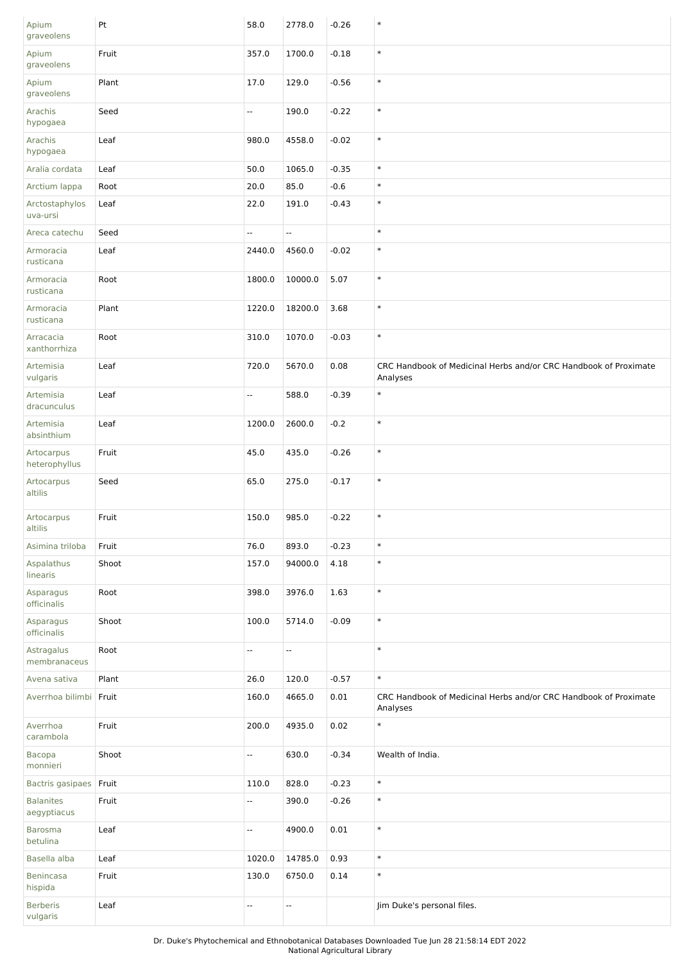| Apium<br>graveolens             | Pt    | 58.0   | 2778.0                   | $-0.26$  | $\ast$                                                                       |
|---------------------------------|-------|--------|--------------------------|----------|------------------------------------------------------------------------------|
| Apium<br>graveolens             | Fruit | 357.0  | 1700.0                   | $-0.18$  | $\ast$                                                                       |
| Apium<br>graveolens             | Plant | 17.0   | 129.0                    | $-0.56$  | $\ast$                                                                       |
| Arachis<br>hypogaea             | Seed  | Ξ.     | 190.0                    | $-0.22$  | $\ast$                                                                       |
| Arachis<br>hypogaea             | Leaf  | 980.0  | 4558.0                   | $-0.02$  | $\ast$                                                                       |
| Aralia cordata                  | Leaf  | 50.0   | 1065.0                   | $-0.35$  | $\ast$                                                                       |
| Arctium lappa                   | Root  | 20.0   | 85.0                     | $-0.6$   | $\ast$                                                                       |
| Arctostaphylos<br>uva-ursi      | Leaf  | 22.0   | 191.0                    | $-0.43$  | $\ast$                                                                       |
| Areca catechu                   | Seed  | Ξ.     | u.                       |          | $\ast$                                                                       |
| Armoracia<br>rusticana          | Leaf  | 2440.0 | 4560.0                   | $-0.02$  | $\ast$                                                                       |
| Armoracia<br>rusticana          | Root  | 1800.0 | 10000.0                  | 5.07     | $\ast$                                                                       |
| Armoracia<br>rusticana          | Plant | 1220.0 | 18200.0                  | 3.68     | $\ast$                                                                       |
| Arracacia<br>xanthorrhiza       | Root  | 310.0  | 1070.0                   | $-0.03$  | $\ast$                                                                       |
| Artemisia<br>vulgaris           | Leaf  | 720.0  | 5670.0                   | 0.08     | CRC Handbook of Medicinal Herbs and/or CRC Handbook of Proximate<br>Analyses |
| Artemisia<br>dracunculus        | Leaf  | --     | 588.0                    | $-0.39$  | $\ast$                                                                       |
| Artemisia<br>absinthium         | Leaf  | 1200.0 | 2600.0                   | $-0.2$   | $\ast$                                                                       |
| Artocarpus<br>heterophyllus     | Fruit | 45.0   | 435.0                    | $-0.26$  | $\ast$                                                                       |
| Artocarpus<br>altilis           | Seed  | 65.0   | 275.0                    | $-0.17$  | $\ast$                                                                       |
| Artocarpus<br>altilis           | Fruit | 150.0  | 985.0                    | $-0.22$  | $\ast$                                                                       |
| Asimina triloba                 | Fruit | 76.0   | 893.0                    | $-0.23$  | $\ast$                                                                       |
| Aspalathus<br>linearis          | Shoot | 157.0  | 94000.0                  | 4.18     | $\ast$                                                                       |
| Asparagus<br>officinalis        | Root  | 398.0  | 3976.0                   | 1.63     | $\ast$                                                                       |
| Asparagus<br>officinalis        | Shoot | 100.0  | 5714.0                   | $-0.09$  | $\ast$                                                                       |
| Astragalus<br>membranaceus      | Root  | 44     | $\overline{\phantom{a}}$ |          | $\ast$                                                                       |
| Avena sativa                    | Plant | 26.0   | 120.0                    | $-0.57$  | $\ast$                                                                       |
| Averrhoa bilimbi Fruit          |       | 160.0  | 4665.0                   | $0.01\,$ | CRC Handbook of Medicinal Herbs and/or CRC Handbook of Proximate<br>Analyses |
| Averrhoa<br>carambola           | Fruit | 200.0  | 4935.0                   | 0.02     | $\ast$                                                                       |
| Bacopa<br>monnieri              | Shoot | 4      | 630.0                    | $-0.34$  | Wealth of India.                                                             |
| Bactris gasipaes                | Fruit | 110.0  | 828.0                    | $-0.23$  | $\ast$                                                                       |
| <b>Balanites</b><br>aegyptiacus | Fruit | --     | 390.0                    | $-0.26$  | $\ast$                                                                       |
| <b>Barosma</b><br>betulina      | Leaf  | 4      | 4900.0                   | $0.01\,$ | $\ast$                                                                       |
| Basella alba                    | Leaf  | 1020.0 | 14785.0                  | 0.93     | $\ast$                                                                       |
| Benincasa<br>hispida            | Fruit | 130.0  | 6750.0                   | 0.14     | $\ast$                                                                       |
| <b>Berberis</b><br>vulgaris     | Leaf  | ۰.     | $\overline{\phantom{a}}$ |          | Jim Duke's personal files.                                                   |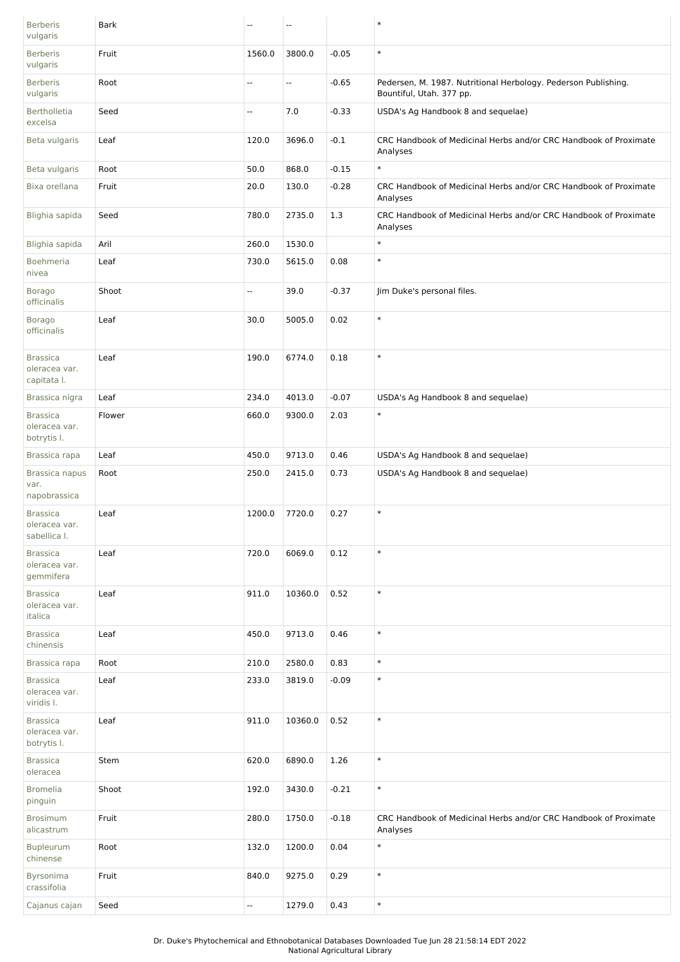| <b>Berberis</b><br>vulgaris                      | <b>Bark</b> | $\overline{a}$           | $\overline{\phantom{a}}$ |         | $\ast$                                                                                     |
|--------------------------------------------------|-------------|--------------------------|--------------------------|---------|--------------------------------------------------------------------------------------------|
| <b>Berberis</b><br>vulgaris                      | Fruit       | 1560.0                   | 3800.0                   | $-0.05$ | $\ast$                                                                                     |
| <b>Berberis</b><br>vulgaris                      | Root        | $\overline{\phantom{a}}$ | Ξ.                       | $-0.65$ | Pedersen, M. 1987. Nutritional Herbology. Pederson Publishing.<br>Bountiful, Utah. 377 pp. |
| <b>Bertholletia</b><br>excelsa                   | Seed        | $\overline{\phantom{a}}$ | 7.0                      | $-0.33$ | USDA's Ag Handbook 8 and sequelae)                                                         |
| Beta vulgaris                                    | Leaf        | 120.0                    | 3696.0                   | $-0.1$  | CRC Handbook of Medicinal Herbs and/or CRC Handbook of Proximate<br>Analyses               |
| Beta vulgaris                                    | Root        | 50.0                     | 868.0                    | $-0.15$ | $\ast$                                                                                     |
| Bixa orellana                                    | Fruit       | 20.0                     | 130.0                    | $-0.28$ | CRC Handbook of Medicinal Herbs and/or CRC Handbook of Proximate<br>Analyses               |
| Blighia sapida                                   | Seed        | 780.0                    | 2735.0                   | 1.3     | CRC Handbook of Medicinal Herbs and/or CRC Handbook of Proximate<br>Analyses               |
| Blighia sapida                                   | Aril        | 260.0                    | 1530.0                   |         | $\ast$                                                                                     |
| Boehmeria<br>nivea                               | Leaf        | 730.0                    | 5615.0                   | 0.08    | $\ast$                                                                                     |
| <b>Borago</b><br>officinalis                     | Shoot       | $\overline{\phantom{a}}$ | 39.0                     | $-0.37$ | Jim Duke's personal files.                                                                 |
| <b>Borago</b><br>officinalis                     | Leaf        | 30.0                     | 5005.0                   | 0.02    | $\ast$                                                                                     |
| <b>Brassica</b><br>oleracea var.<br>capitata I.  | Leaf        | 190.0                    | 6774.0                   | 0.18    | $\ast$                                                                                     |
| Brassica nigra                                   | Leaf        | 234.0                    | 4013.0                   | $-0.07$ | USDA's Ag Handbook 8 and sequelae)                                                         |
| <b>Brassica</b><br>oleracea var.<br>botrytis I.  | Flower      | 660.0                    | 9300.0                   | 2.03    | $\ast$                                                                                     |
| Brassica rapa                                    | Leaf        | 450.0                    | 9713.0                   | 0.46    | USDA's Ag Handbook 8 and sequelae)                                                         |
| Brassica napus                                   | Root        | 250.0                    | 2415.0                   | 0.73    | USDA's Ag Handbook 8 and sequelae)                                                         |
| var.<br>napobrassica                             |             |                          |                          |         |                                                                                            |
| <b>Brassica</b><br>oleracea var.<br>sabellica I. | Leaf        | 1200.0                   | 7720.0                   | 0.27    | $\ast$                                                                                     |
| <b>Brassica</b><br>oleracea var.<br>gemmifera    | Leaf        | 720.0                    | 6069.0                   | 0.12    | $\ast$                                                                                     |
| <b>Brassica</b><br>oleracea var.<br>italica      | Leaf        | 911.0                    | 10360.0                  | 0.52    | $\ast$                                                                                     |
| <b>Brassica</b><br>chinensis                     | Leaf        | 450.0                    | 9713.0                   | 0.46    | $\ast$                                                                                     |
| Brassica rapa                                    | Root        | 210.0                    | 2580.0                   | 0.83    | $\ast$                                                                                     |
| <b>Brassica</b><br>oleracea var.<br>viridis I.   | Leaf        | 233.0                    | 3819.0                   | $-0.09$ | $\ast$                                                                                     |
| <b>Brassica</b><br>oleracea var.<br>botrytis I.  | Leaf        | 911.0                    | 10360.0                  | 0.52    | $\ast$                                                                                     |
| <b>Brassica</b><br>oleracea                      | Stem        | 620.0                    | 6890.0                   | 1.26    | $\ast$                                                                                     |
| <b>Bromelia</b><br>pinguin                       | Shoot       | 192.0                    | 3430.0                   | $-0.21$ | $\ast$                                                                                     |
| <b>Brosimum</b><br>alicastrum                    | Fruit       | 280.0                    | 1750.0                   | $-0.18$ | CRC Handbook of Medicinal Herbs and/or CRC Handbook of Proximate<br>Analyses               |
| Bupleurum<br>chinense                            | Root        | 132.0                    | 1200.0                   | 0.04    | $\ast$                                                                                     |
| Byrsonima<br>crassifolia                         | Fruit       | 840.0                    | 9275.0                   | 0.29    | $\ast$                                                                                     |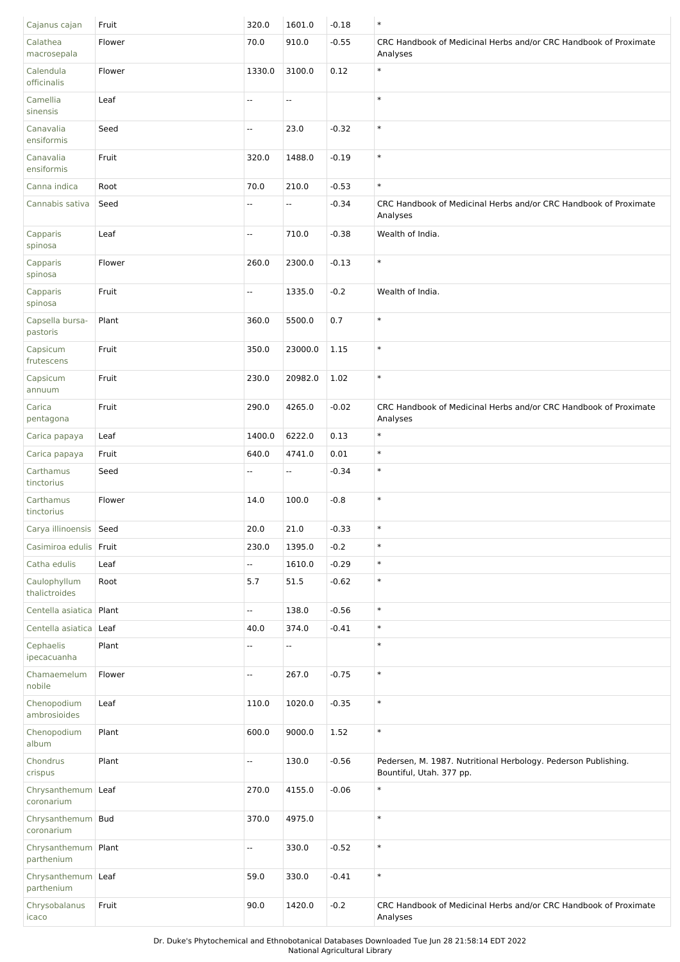| Cajanus cajan                     | Fruit  | 320.0                    | 1601.0                   | $-0.18$ | $\ast$                                                                                     |
|-----------------------------------|--------|--------------------------|--------------------------|---------|--------------------------------------------------------------------------------------------|
| Calathea<br>macrosepala           | Flower | 70.0                     | 910.0                    | $-0.55$ | CRC Handbook of Medicinal Herbs and/or CRC Handbook of Proximate<br>Analyses               |
| Calendula<br>officinalis          | Flower | 1330.0                   | 3100.0                   | 0.12    | $\ast$                                                                                     |
| Camellia<br>sinensis              | Leaf   | Ξ.                       | $\sim$                   |         | $\ast$                                                                                     |
| Canavalia<br>ensiformis           | Seed   | $- -$                    | 23.0                     | $-0.32$ | $\ast$                                                                                     |
| Canavalia<br>ensiformis           | Fruit  | 320.0                    | 1488.0                   | $-0.19$ | $\ast$                                                                                     |
| Canna indica                      | Root   | 70.0                     | 210.0                    | $-0.53$ | $\ast$                                                                                     |
| Cannabis sativa                   | Seed   |                          | $\overline{\phantom{a}}$ | $-0.34$ | CRC Handbook of Medicinal Herbs and/or CRC Handbook of Proximate<br>Analyses               |
| Capparis<br>spinosa               | Leaf   | $\mathbf{u}$             | 710.0                    | $-0.38$ | Wealth of India.                                                                           |
| Capparis<br>spinosa               | Flower | 260.0                    | 2300.0                   | $-0.13$ | $\ast$                                                                                     |
| Capparis<br>spinosa               | Fruit  | Ξ.                       | 1335.0                   | $-0.2$  | Wealth of India.                                                                           |
| Capsella bursa-<br>pastoris       | Plant  | 360.0                    | 5500.0                   | 0.7     | $\ast$                                                                                     |
| Capsicum<br>frutescens            | Fruit  | 350.0                    | 23000.0                  | 1.15    | $\ast$                                                                                     |
| Capsicum<br>annuum                | Fruit  | 230.0                    | 20982.0                  | 1.02    | $\ast$                                                                                     |
| Carica<br>pentagona               | Fruit  | 290.0                    | 4265.0                   | $-0.02$ | CRC Handbook of Medicinal Herbs and/or CRC Handbook of Proximate<br>Analyses               |
| Carica papaya                     | Leaf   | 1400.0                   | 6222.0                   | 0.13    | $\ast$                                                                                     |
| Carica papaya                     | Fruit  | 640.0                    | 4741.0                   | 0.01    | $\ast$                                                                                     |
| Carthamus<br>tinctorius           | Seed   | $\overline{\phantom{a}}$ | $\overline{\phantom{a}}$ | $-0.34$ | $\ast$                                                                                     |
| Carthamus<br>tinctorius           | Flower | 14.0                     | 100.0                    | $-0.8$  | $\ast$                                                                                     |
| Carya illinoensis Seed            |        | 20.0                     | 21.0                     | $-0.33$ | $\ast$                                                                                     |
| Casimiroa edulis                  | Fruit  | 230.0                    | 1395.0                   | $-0.2$  | $\ast$                                                                                     |
| Catha edulis                      | Leaf   | $\overline{\phantom{a}}$ | 1610.0                   | $-0.29$ | $\ast$                                                                                     |
| Caulophyllum<br>thalictroides     | Root   | 5.7                      | 51.5                     | $-0.62$ | $\ast$                                                                                     |
| Centella asiatica   Plant         |        | u.                       | 138.0                    | $-0.56$ | $\ast$                                                                                     |
| Centella asiatica                 | Leaf   | 40.0                     | 374.0                    | $-0.41$ | $\ast$                                                                                     |
| Cephaelis<br>ipecacuanha          | Plant  | $\overline{a}$           | $\overline{\phantom{a}}$ |         | $\ast$                                                                                     |
| Chamaemelum<br>nobile             | Flower | Ξ.                       | 267.0                    | $-0.75$ | $\ast$                                                                                     |
| Chenopodium<br>ambrosioides       | Leaf   | 110.0                    | 1020.0                   | $-0.35$ | $\ast$                                                                                     |
| Chenopodium<br>album              | Plant  | 600.0                    | 9000.0                   | 1.52    | $\ast$                                                                                     |
| Chondrus<br>crispus               | Plant  | Ξ.                       | 130.0                    | $-0.56$ | Pedersen, M. 1987. Nutritional Herbology. Pederson Publishing.<br>Bountiful, Utah. 377 pp. |
| Chrysanthemum Leaf<br>coronarium  |        | 270.0                    | 4155.0                   | $-0.06$ | $\ast$                                                                                     |
| Chrysanthemum   Bud<br>coronarium |        | 370.0                    | 4975.0                   |         | $\ast$                                                                                     |
| Chrysanthemum<br>parthenium       | Plant  | Ξ.                       | 330.0                    | $-0.52$ | $\ast$                                                                                     |
| Chrysanthemum Leaf<br>parthenium  |        | 59.0                     | 330.0                    | $-0.41$ | $\ast$                                                                                     |
| Chrysobalanus<br>icaco            | Fruit  | 90.0                     | 1420.0                   | $-0.2$  | CRC Handbook of Medicinal Herbs and/or CRC Handbook of Proximate<br>Analyses               |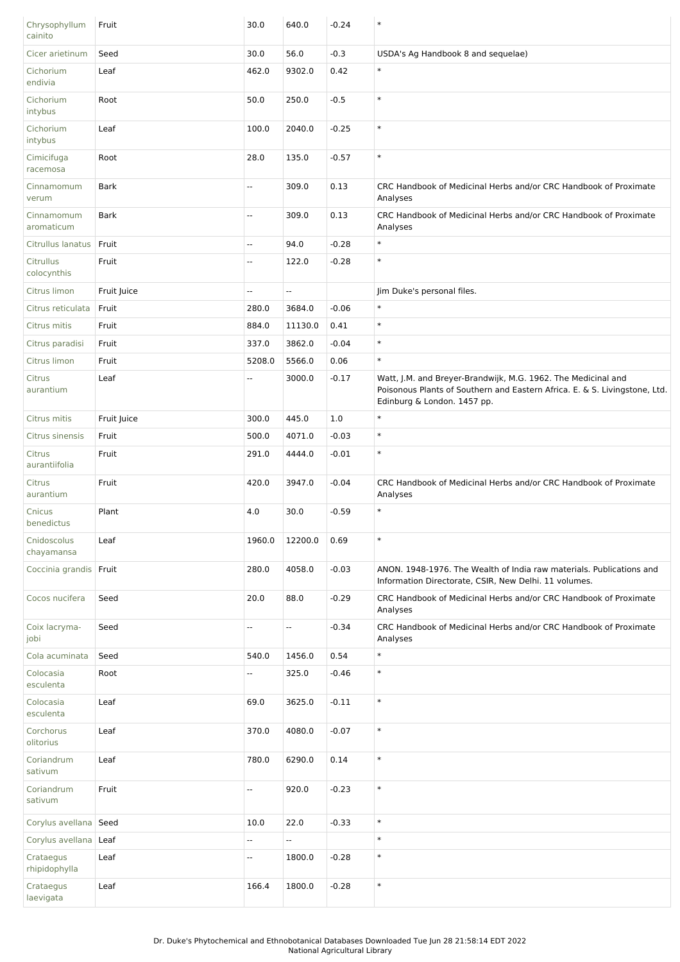| Chrysophyllum<br>cainito   | Fruit       | 30.0                     | 640.0   | $-0.24$ | $\ast$                                                                                                                                                                     |
|----------------------------|-------------|--------------------------|---------|---------|----------------------------------------------------------------------------------------------------------------------------------------------------------------------------|
| Cicer arietinum            | Seed        | 30.0                     | 56.0    | $-0.3$  | USDA's Ag Handbook 8 and sequelae)                                                                                                                                         |
| Cichorium<br>endivia       | Leaf        | 462.0                    | 9302.0  | 0.42    | $\ast$                                                                                                                                                                     |
| Cichorium<br>intybus       | Root        | 50.0                     | 250.0   | $-0.5$  | $\ast$                                                                                                                                                                     |
| Cichorium<br>intybus       | Leaf        | 100.0                    | 2040.0  | $-0.25$ | $\ast$                                                                                                                                                                     |
| Cimicifuga<br>racemosa     | Root        | 28.0                     | 135.0   | $-0.57$ | $\ast$                                                                                                                                                                     |
| Cinnamomum<br>verum        | <b>Bark</b> | Щ,                       | 309.0   | 0.13    | CRC Handbook of Medicinal Herbs and/or CRC Handbook of Proximate<br>Analyses                                                                                               |
| Cinnamomum<br>aromaticum   | <b>Bark</b> | $\overline{\phantom{a}}$ | 309.0   | 0.13    | CRC Handbook of Medicinal Herbs and/or CRC Handbook of Proximate<br>Analyses                                                                                               |
| Citrullus lanatus          | Fruit       | Щ,                       | 94.0    | $-0.28$ | $\ast$                                                                                                                                                                     |
| Citrullus<br>colocynthis   | Fruit       | $\overline{\phantom{a}}$ | 122.0   | $-0.28$ | $\ast$                                                                                                                                                                     |
| Citrus limon               | Fruit Juice | Ξ.                       | --      |         | Jim Duke's personal files.                                                                                                                                                 |
| Citrus reticulata          | Fruit       | 280.0                    | 3684.0  | $-0.06$ | $\ast$                                                                                                                                                                     |
| Citrus mitis               | Fruit       | 884.0                    | 11130.0 | 0.41    | $\ast$                                                                                                                                                                     |
| Citrus paradisi            | Fruit       | 337.0                    | 3862.0  | $-0.04$ | $\ast$                                                                                                                                                                     |
| Citrus limon               | Fruit       | 5208.0                   | 5566.0  | 0.06    | $\ast$                                                                                                                                                                     |
| Citrus<br>aurantium        | Leaf        | $\overline{\phantom{a}}$ | 3000.0  | $-0.17$ | Watt, J.M. and Breyer-Brandwijk, M.G. 1962. The Medicinal and<br>Poisonous Plants of Southern and Eastern Africa. E. & S. Livingstone, Ltd.<br>Edinburg & London. 1457 pp. |
| Citrus mitis               | Fruit Juice | 300.0                    | 445.0   | 1.0     | $\ast$                                                                                                                                                                     |
| Citrus sinensis            | Fruit       | 500.0                    | 4071.0  | $-0.03$ | $\ast$                                                                                                                                                                     |
| Citrus<br>aurantiifolia    | Fruit       | 291.0                    | 4444.0  | $-0.01$ | $\ast$                                                                                                                                                                     |
| Citrus<br>aurantium        | Fruit       | 420.0                    | 3947.0  | $-0.04$ | CRC Handbook of Medicinal Herbs and/or CRC Handbook of Proximate<br>Analyses                                                                                               |
| Cnicus<br>benedictus       | Plant       | 4.0                      | 30.0    | $-0.59$ | $\ast$                                                                                                                                                                     |
| Cnidoscolus<br>chayamansa  | Leaf        | 1960.0                   | 12200.0 | 0.69    | $\ast$                                                                                                                                                                     |
| Coccinia grandis Fruit     |             | 280.0                    | 4058.0  | $-0.03$ | ANON. 1948-1976. The Wealth of India raw materials. Publications and<br>Information Directorate, CSIR, New Delhi. 11 volumes.                                              |
| Cocos nucifera             | Seed        | 20.0                     | 88.0    | $-0.29$ | CRC Handbook of Medicinal Herbs and/or CRC Handbook of Proximate<br>Analyses                                                                                               |
| Coix lacryma-<br>jobi      | Seed        | $\overline{\phantom{a}}$ | Ξ.      | $-0.34$ | CRC Handbook of Medicinal Herbs and/or CRC Handbook of Proximate<br>Analyses                                                                                               |
| Cola acuminata             | Seed        | 540.0                    | 1456.0  | 0.54    | $\ast$                                                                                                                                                                     |
| Colocasia<br>esculenta     | Root        | --                       | 325.0   | $-0.46$ | $\ast$                                                                                                                                                                     |
| Colocasia<br>esculenta     | Leaf        | 69.0                     | 3625.0  | $-0.11$ | $\ast$                                                                                                                                                                     |
| Corchorus<br>olitorius     | Leaf        | 370.0                    | 4080.0  | $-0.07$ | $\ast$                                                                                                                                                                     |
| Coriandrum<br>sativum      | Leaf        | 780.0                    | 6290.0  | 0.14    | $\ast$                                                                                                                                                                     |
| Coriandrum<br>sativum      | Fruit       | Ξ.                       | 920.0   | $-0.23$ | $\ast$                                                                                                                                                                     |
| Corylus avellana Seed      |             | 10.0                     | 22.0    | $-0.33$ | $\ast$                                                                                                                                                                     |
| Corylus avellana   Leaf    |             | н,                       | --      |         | $\ast$                                                                                                                                                                     |
| Crataegus<br>rhipidophylla | Leaf        | Ξ.                       | 1800.0  | $-0.28$ | $\ast$                                                                                                                                                                     |
| Crataegus<br>laevigata     | Leaf        | 166.4                    | 1800.0  | $-0.28$ | $\ast$                                                                                                                                                                     |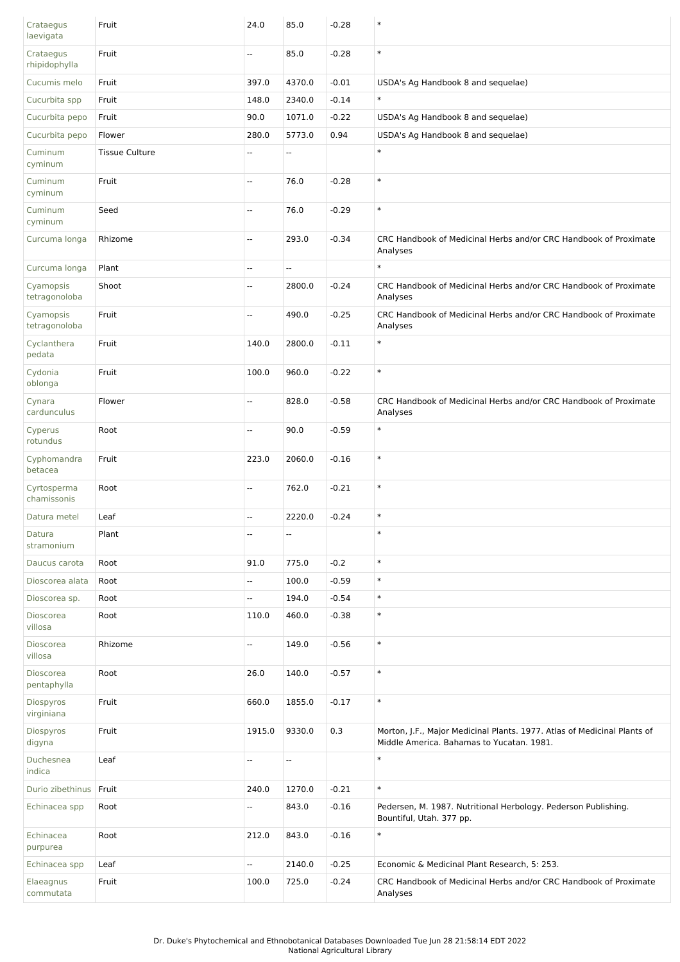| Crataegus<br>laevigata          | Fruit                 | 24.0                     | 85.0                     | $-0.28$ | $\ast$                                                                                                                |
|---------------------------------|-----------------------|--------------------------|--------------------------|---------|-----------------------------------------------------------------------------------------------------------------------|
| Crataegus<br>rhipidophylla      | Fruit                 | $\overline{\phantom{a}}$ | 85.0                     | $-0.28$ | $\ast$                                                                                                                |
| Cucumis melo                    | Fruit                 | 397.0                    | 4370.0                   | $-0.01$ | USDA's Ag Handbook 8 and sequelae)                                                                                    |
| Cucurbita spp                   | Fruit                 | 148.0                    | 2340.0                   | $-0.14$ | $\ast$                                                                                                                |
| Cucurbita pepo                  | Fruit                 | 90.0                     | 1071.0                   | $-0.22$ | USDA's Ag Handbook 8 and sequelae)                                                                                    |
| Cucurbita pepo                  | Flower                | 280.0                    | 5773.0                   | 0.94    | USDA's Ag Handbook 8 and sequelae)                                                                                    |
| Cuminum<br>cyminum              | <b>Tissue Culture</b> | $\sim$                   | $\sim$                   |         | $\ast$                                                                                                                |
| Cuminum<br>cyminum              | Fruit                 | $\sim$                   | 76.0                     | $-0.28$ | $\ast$                                                                                                                |
| Cuminum<br>cyminum              | Seed                  | $\overline{a}$           | 76.0                     | $-0.29$ | $\ast$                                                                                                                |
| Curcuma longa                   | Rhizome               | Ξ.                       | 293.0                    | $-0.34$ | CRC Handbook of Medicinal Herbs and/or CRC Handbook of Proximate<br>Analyses                                          |
| Curcuma longa                   | Plant                 | $\overline{\phantom{a}}$ | u.                       |         | $\ast$                                                                                                                |
| Cyamopsis<br>tetragonoloba      | Shoot                 | $\overline{\phantom{a}}$ | 2800.0                   | $-0.24$ | CRC Handbook of Medicinal Herbs and/or CRC Handbook of Proximate<br>Analyses                                          |
| Cyamopsis<br>tetragonoloba      | Fruit                 | $\overline{\phantom{a}}$ | 490.0                    | $-0.25$ | CRC Handbook of Medicinal Herbs and/or CRC Handbook of Proximate<br>Analyses                                          |
| Cyclanthera<br>pedata           | Fruit                 | 140.0                    | 2800.0                   | $-0.11$ | $\ast$                                                                                                                |
| Cydonia<br>oblonga              | Fruit                 | 100.0                    | 960.0                    | $-0.22$ | $\ast$                                                                                                                |
| Cynara<br>cardunculus           | Flower                | $\sim$                   | 828.0                    | $-0.58$ | CRC Handbook of Medicinal Herbs and/or CRC Handbook of Proximate<br>Analyses                                          |
| Cyperus<br>rotundus             | Root                  | ÷.                       | 90.0                     | $-0.59$ | $\ast$                                                                                                                |
| Cyphomandra<br>betacea          | Fruit                 | 223.0                    | 2060.0                   | $-0.16$ | $\ast$                                                                                                                |
| Cyrtosperma<br>chamissonis      | Root                  | Щ,                       | 762.0                    | $-0.21$ | $\ast$                                                                                                                |
| Datura metel                    | Leaf                  | $\overline{\phantom{a}}$ | 2220.0                   | $-0.24$ | $\ast$                                                                                                                |
| Datura<br>stramonium            | Plant                 | $\overline{\phantom{a}}$ | $\overline{\phantom{a}}$ |         | $\ast$                                                                                                                |
| Daucus carota                   | Root                  | 91.0                     | 775.0                    | $-0.2$  | $\ast$                                                                                                                |
| Dioscorea alata                 | Root                  | u.                       | 100.0                    | $-0.59$ | $\ast$                                                                                                                |
| Dioscorea sp.                   | Root                  | Ξ.                       | 194.0                    | $-0.54$ | $\ast$                                                                                                                |
| Dioscorea<br>villosa            | Root                  | 110.0                    | 460.0                    | $-0.38$ | $\ast$                                                                                                                |
| Dioscorea<br>villosa            | Rhizome               | н.                       | 149.0                    | $-0.56$ | $\ast$                                                                                                                |
| <b>Dioscorea</b><br>pentaphylla | Root                  | 26.0                     | 140.0                    | $-0.57$ | $\ast$                                                                                                                |
| Diospyros<br>virginiana         | Fruit                 | 660.0                    | 1855.0                   | $-0.17$ | $\ast$                                                                                                                |
| Diospyros<br>digyna             | Fruit                 | 1915.0                   | 9330.0                   | 0.3     | Morton, J.F., Major Medicinal Plants. 1977. Atlas of Medicinal Plants of<br>Middle America. Bahamas to Yucatan. 1981. |
| Duchesnea<br>indica             | Leaf                  | $\overline{\phantom{a}}$ | Щ,                       |         | $\ast$                                                                                                                |
| Durio zibethinus   Fruit        |                       | 240.0                    | 1270.0                   | $-0.21$ | $\ast$                                                                                                                |
| Echinacea spp                   | Root                  | Ξ.                       | 843.0                    | $-0.16$ | Pedersen, M. 1987. Nutritional Herbology. Pederson Publishing.<br>Bountiful, Utah. 377 pp.                            |
| Echinacea<br>purpurea           | Root                  | 212.0                    | 843.0                    | $-0.16$ | $\ast$                                                                                                                |
| Echinacea spp                   | Leaf                  | н.                       | 2140.0                   | $-0.25$ | Economic & Medicinal Plant Research, 5: 253.                                                                          |
| Elaeagnus<br>commutata          | Fruit                 | 100.0                    | 725.0                    | $-0.24$ | CRC Handbook of Medicinal Herbs and/or CRC Handbook of Proximate<br>Analyses                                          |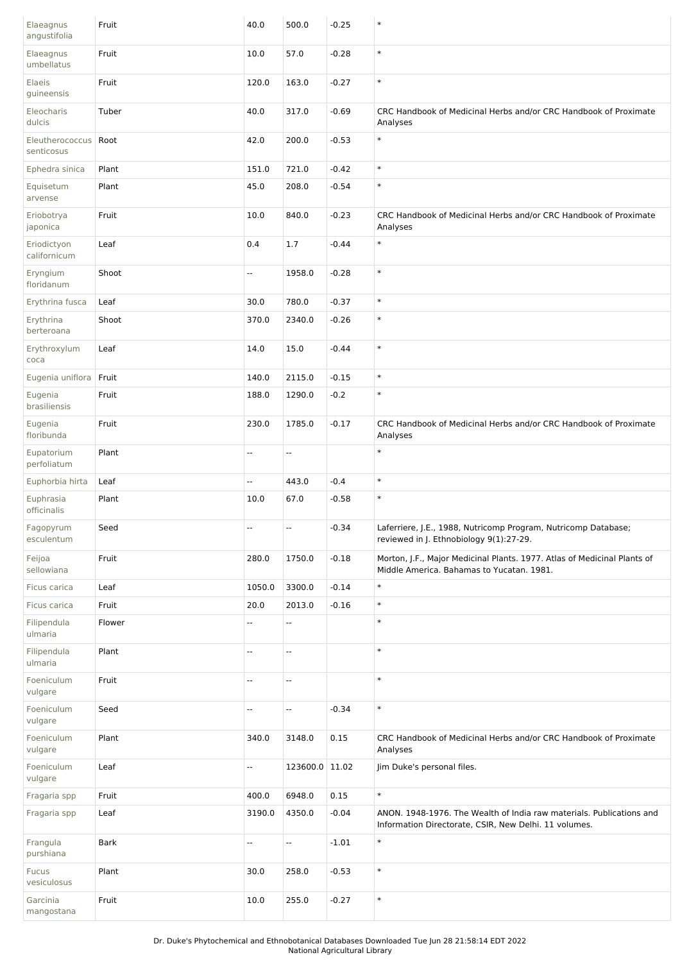| Elaeagnus<br>angustifolia     | Fruit       | 40.0   | 500.0                    | $-0.25$ | $\ast$                                                                                                                        |
|-------------------------------|-------------|--------|--------------------------|---------|-------------------------------------------------------------------------------------------------------------------------------|
| Elaeagnus<br>umbellatus       | Fruit       | 10.0   | 57.0                     | $-0.28$ | $\ast$                                                                                                                        |
| <b>Elaeis</b><br>guineensis   | Fruit       | 120.0  | 163.0                    | $-0.27$ | $\ast$                                                                                                                        |
| Eleocharis<br>dulcis          | Tuber       | 40.0   | 317.0                    | $-0.69$ | CRC Handbook of Medicinal Herbs and/or CRC Handbook of Proximate<br>Analyses                                                  |
| Eleutherococcus<br>senticosus | Root        | 42.0   | 200.0                    | $-0.53$ | $\ast$                                                                                                                        |
| Ephedra sinica                | Plant       | 151.0  | 721.0                    | $-0.42$ | $\ast$                                                                                                                        |
| Equisetum<br>arvense          | Plant       | 45.0   | 208.0                    | $-0.54$ | $\ast$                                                                                                                        |
| Eriobotrya<br>japonica        | Fruit       | 10.0   | 840.0                    | $-0.23$ | CRC Handbook of Medicinal Herbs and/or CRC Handbook of Proximate<br>Analyses                                                  |
| Eriodictyon<br>californicum   | Leaf        | 0.4    | 1.7                      | $-0.44$ | $\ast$                                                                                                                        |
| Eryngium<br>floridanum        | Shoot       | --     | 1958.0                   | $-0.28$ | $\ast$                                                                                                                        |
| Erythrina fusca               | Leaf        | 30.0   | 780.0                    | $-0.37$ | $\ast$                                                                                                                        |
| Erythrina<br>berteroana       | Shoot       | 370.0  | 2340.0                   | $-0.26$ | $\ast$                                                                                                                        |
| Erythroxylum<br>coca          | Leaf        | 14.0   | 15.0                     | $-0.44$ | $\ast$                                                                                                                        |
| Eugenia uniflora              | Fruit       | 140.0  | 2115.0                   | $-0.15$ | $\ast$                                                                                                                        |
| Eugenia<br>brasiliensis       | Fruit       | 188.0  | 1290.0                   | $-0.2$  | $\ast$                                                                                                                        |
| Eugenia<br>floribunda         | Fruit       | 230.0  | 1785.0                   | $-0.17$ | CRC Handbook of Medicinal Herbs and/or CRC Handbook of Proximate<br>Analyses                                                  |
| Eupatorium<br>perfoliatum     | Plant       | Ξ.     | $\overline{\phantom{a}}$ |         | $\ast$                                                                                                                        |
| Euphorbia hirta               | Leaf        | Ξ.     | 443.0                    | $-0.4$  | $\ast$                                                                                                                        |
| Euphrasia<br>officinalis      | Plant       | 10.0   | 67.0                     | $-0.58$ | $\ast$                                                                                                                        |
| Fagopyrum<br>esculentum       | Seed        | н,     | $\overline{\phantom{a}}$ | $-0.34$ | Laferriere, J.E., 1988, Nutricomp Program, Nutricomp Database;<br>reviewed in J. Ethnobiology 9(1):27-29.                     |
| Feijoa<br>sellowiana          | Fruit       | 280.0  | 1750.0                   | $-0.18$ | Morton, J.F., Major Medicinal Plants. 1977. Atlas of Medicinal Plants of<br>Middle America. Bahamas to Yucatan. 1981.         |
| Ficus carica                  | Leaf        | 1050.0 | 3300.0                   | $-0.14$ | $\ast$                                                                                                                        |
| Ficus carica                  | Fruit       | 20.0   | 2013.0                   | $-0.16$ | $\ast$                                                                                                                        |
| Filipendula<br>ulmaria        | Flower      | --     | Ξ.                       |         | $\ast$                                                                                                                        |
| Filipendula<br>ulmaria        | Plant       | Ξ.     | Ξ.                       |         | $\ast$                                                                                                                        |
| Foeniculum<br>vulgare         | Fruit       | Ξ.     | Ξ.                       |         | $\ast$                                                                                                                        |
| Foeniculum<br>vulgare         | Seed        | Ξ.     | Ξ.                       | $-0.34$ | $\ast$                                                                                                                        |
| Foeniculum<br>vulgare         | Plant       | 340.0  | 3148.0                   | 0.15    | CRC Handbook of Medicinal Herbs and/or CRC Handbook of Proximate<br>Analyses                                                  |
| Foeniculum<br>vulgare         | Leaf        | 4      | 123600.0 11.02           |         | Jim Duke's personal files.                                                                                                    |
| Fragaria spp                  | Fruit       | 400.0  | 6948.0                   | 0.15    | $\ast$                                                                                                                        |
| Fragaria spp                  | Leaf        | 3190.0 | 4350.0                   | $-0.04$ | ANON. 1948-1976. The Wealth of India raw materials. Publications and<br>Information Directorate, CSIR, New Delhi. 11 volumes. |
| Frangula<br>purshiana         | <b>Bark</b> | --     | Щ,                       | $-1.01$ | $\ast$                                                                                                                        |
| <b>Fucus</b><br>vesiculosus   | Plant       | 30.0   | 258.0                    | $-0.53$ | $\ast$                                                                                                                        |
| Garcinia<br>mangostana        | Fruit       | 10.0   | 255.0                    | $-0.27$ | $\ast$                                                                                                                        |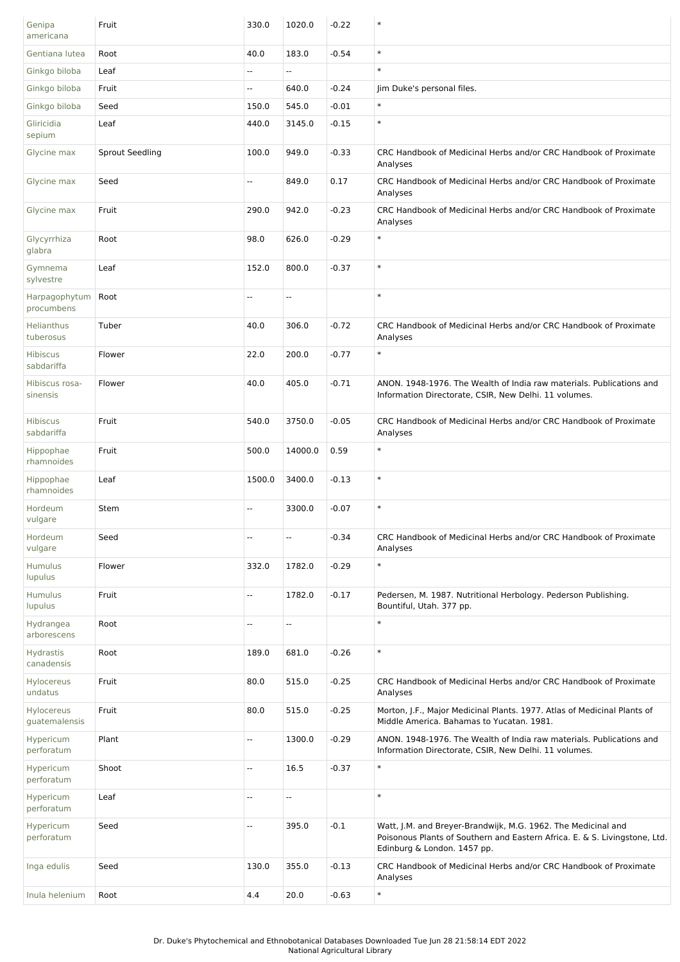| Genipa<br>americana            | Fruit                  | 330.0  | 1020.0  | $-0.22$ | $\ast$                                                                                                                                                                     |
|--------------------------------|------------------------|--------|---------|---------|----------------------------------------------------------------------------------------------------------------------------------------------------------------------------|
| Gentiana lutea                 | Root                   | 40.0   | 183.0   | $-0.54$ | $\ast$                                                                                                                                                                     |
| Ginkgo biloba                  | Leaf                   | --     | Ш,      |         | $\ast$                                                                                                                                                                     |
| Ginkgo biloba                  | Fruit                  | --     | 640.0   | $-0.24$ | Jim Duke's personal files.                                                                                                                                                 |
| Ginkgo biloba                  | Seed                   | 150.0  | 545.0   | $-0.01$ | $\ast$                                                                                                                                                                     |
| Gliricidia<br>sepium           | Leaf                   | 440.0  | 3145.0  | $-0.15$ | $\ast$                                                                                                                                                                     |
| Glycine max                    | <b>Sprout Seedling</b> | 100.0  | 949.0   | $-0.33$ | CRC Handbook of Medicinal Herbs and/or CRC Handbook of Proximate<br>Analyses                                                                                               |
| Glycine max                    | Seed                   | --     | 849.0   | 0.17    | CRC Handbook of Medicinal Herbs and/or CRC Handbook of Proximate<br>Analyses                                                                                               |
| Glycine max                    | Fruit                  | 290.0  | 942.0   | $-0.23$ | CRC Handbook of Medicinal Herbs and/or CRC Handbook of Proximate<br>Analyses                                                                                               |
| Glycyrrhiza<br>glabra          | Root                   | 98.0   | 626.0   | $-0.29$ | $\ast$                                                                                                                                                                     |
| Gymnema<br>sylvestre           | Leaf                   | 152.0  | 800.0   | $-0.37$ | $\ast$                                                                                                                                                                     |
| Harpagophytum<br>procumbens    | Root                   | u.     | Ξ.      |         | $\ast$                                                                                                                                                                     |
| Helianthus<br>tuberosus        | Tuber                  | 40.0   | 306.0   | $-0.72$ | CRC Handbook of Medicinal Herbs and/or CRC Handbook of Proximate<br>Analyses                                                                                               |
| <b>Hibiscus</b><br>sabdariffa  | Flower                 | 22.0   | 200.0   | $-0.77$ | $\ast$                                                                                                                                                                     |
| Hibiscus rosa-<br>sinensis     | Flower                 | 40.0   | 405.0   | $-0.71$ | ANON. 1948-1976. The Wealth of India raw materials. Publications and<br>Information Directorate, CSIR, New Delhi. 11 volumes.                                              |
| <b>Hibiscus</b><br>sabdariffa  | Fruit                  | 540.0  | 3750.0  | $-0.05$ | CRC Handbook of Medicinal Herbs and/or CRC Handbook of Proximate<br>Analyses                                                                                               |
| Hippophae<br>rhamnoides        | Fruit                  | 500.0  | 14000.0 | 0.59    | $\ast$                                                                                                                                                                     |
| Hippophae<br>rhamnoides        | Leaf                   | 1500.0 | 3400.0  | $-0.13$ | $\ast$                                                                                                                                                                     |
| Hordeum<br>vulgare             | Stem                   | --     | 3300.0  | $-0.07$ | $\ast$                                                                                                                                                                     |
| Hordeum<br>vulgare             | Seed                   | --     | ۰.      | $-0.34$ | CRC Handbook of Medicinal Herbs and/or CRC Handbook of Proximate<br>Analyses                                                                                               |
| Humulus<br>lupulus             | Flower                 | 332.0  | 1782.0  | $-0.29$ | $\ast$                                                                                                                                                                     |
| Humulus<br>lupulus             | Fruit                  | Ξ.     | 1782.0  | $-0.17$ | Pedersen, M. 1987. Nutritional Herbology. Pederson Publishing.<br>Bountiful, Utah. 377 pp.                                                                                 |
| Hydrangea<br>arborescens       | Root                   | --     | --      |         | $\ast$                                                                                                                                                                     |
| <b>Hydrastis</b><br>canadensis | Root                   | 189.0  | 681.0   | $-0.26$ | $\ast$                                                                                                                                                                     |
| Hylocereus<br>undatus          | Fruit                  | 80.0   | 515.0   | $-0.25$ | CRC Handbook of Medicinal Herbs and/or CRC Handbook of Proximate<br>Analyses                                                                                               |
| Hylocereus<br>guatemalensis    | Fruit                  | 80.0   | 515.0   | $-0.25$ | Morton, J.F., Major Medicinal Plants. 1977. Atlas of Medicinal Plants of<br>Middle America. Bahamas to Yucatan. 1981.                                                      |
| Hypericum<br>perforatum        | Plant                  | --     | 1300.0  | $-0.29$ | ANON. 1948-1976. The Wealth of India raw materials. Publications and<br>Information Directorate, CSIR, New Delhi. 11 volumes.                                              |
| Hypericum<br>perforatum        | Shoot                  | Щ.     | 16.5    | $-0.37$ | $\ast$                                                                                                                                                                     |
| Hypericum<br>perforatum        | Leaf                   | u.     | Ξ.      |         | $\ast$                                                                                                                                                                     |
| Hypericum<br>perforatum        | Seed                   | Ξ.     | 395.0   | $-0.1$  | Watt, J.M. and Breyer-Brandwijk, M.G. 1962. The Medicinal and<br>Poisonous Plants of Southern and Eastern Africa. E. & S. Livingstone, Ltd.<br>Edinburg & London. 1457 pp. |
| Inga edulis                    | Seed                   | 130.0  | 355.0   | $-0.13$ | CRC Handbook of Medicinal Herbs and/or CRC Handbook of Proximate<br>Analyses                                                                                               |
| Inula helenium                 | Root                   | 4.4    | 20.0    | $-0.63$ | $\ast$                                                                                                                                                                     |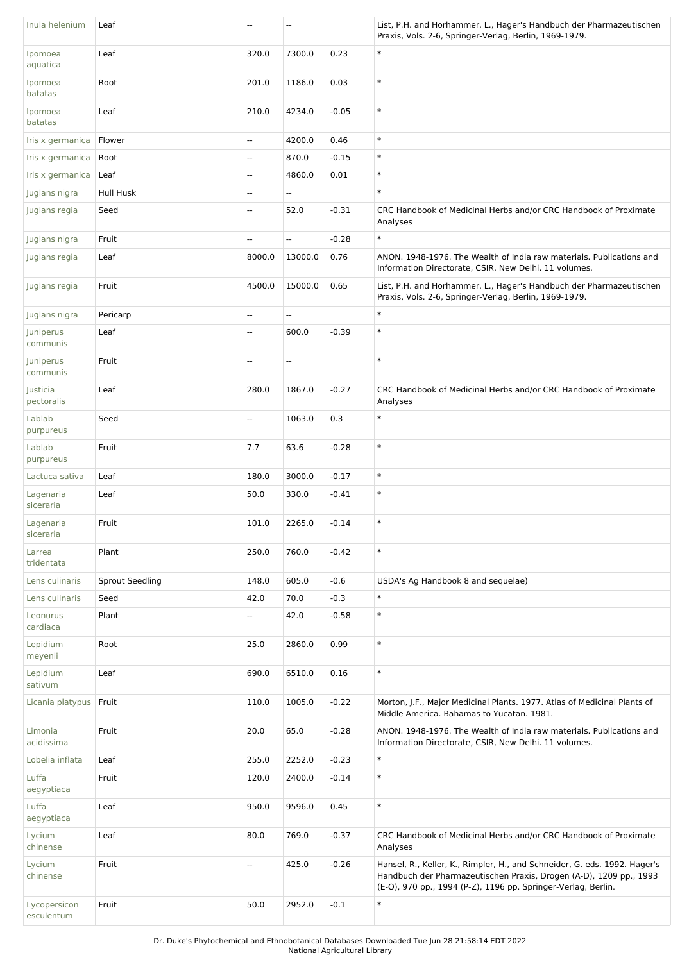| Inula helenium             | Leaf                   | --     | --                       |         | List, P.H. and Horhammer, L., Hager's Handbuch der Pharmazeutischen<br>Praxis, Vols. 2-6, Springer-Verlag, Berlin, 1969-1979.                                                                                    |
|----------------------------|------------------------|--------|--------------------------|---------|------------------------------------------------------------------------------------------------------------------------------------------------------------------------------------------------------------------|
| Ipomoea<br>aquatica        | Leaf                   | 320.0  | 7300.0                   | 0.23    | $\ast$                                                                                                                                                                                                           |
| Ipomoea<br>batatas         | Root                   | 201.0  | 1186.0                   | 0.03    | $\ast$                                                                                                                                                                                                           |
| Ipomoea<br>batatas         | Leaf                   | 210.0  | 4234.0                   | $-0.05$ | $\ast$                                                                                                                                                                                                           |
| Iris x germanica           | Flower                 | Ξ.     | 4200.0                   | 0.46    | $\ast$                                                                                                                                                                                                           |
| Iris x germanica           | Root                   | Ξ.     | 870.0                    | $-0.15$ | $\ast$                                                                                                                                                                                                           |
| Iris x germanica           | Leaf                   | -−     | 4860.0                   | 0.01    | $\ast$                                                                                                                                                                                                           |
| Juglans nigra              | Hull Husk              | --     | Щ,                       |         | $\ast$                                                                                                                                                                                                           |
| Juglans regia              | Seed                   | --     | 52.0                     | $-0.31$ | CRC Handbook of Medicinal Herbs and/or CRC Handbook of Proximate<br>Analyses                                                                                                                                     |
| Juglans nigra              | Fruit                  | Щ.     | Щ,                       | $-0.28$ | $\ast$                                                                                                                                                                                                           |
| Juglans regia              | Leaf                   | 8000.0 | 13000.0                  | 0.76    | ANON. 1948-1976. The Wealth of India raw materials. Publications and<br>Information Directorate, CSIR, New Delhi. 11 volumes.                                                                                    |
| Juglans regia              | Fruit                  | 4500.0 | 15000.0                  | 0.65    | List, P.H. and Horhammer, L., Hager's Handbuch der Pharmazeutischen<br>Praxis, Vols. 2-6, Springer-Verlag, Berlin, 1969-1979.                                                                                    |
| Juglans nigra              | Pericarp               | Щ,     | $\overline{\phantom{a}}$ |         | $\ast$                                                                                                                                                                                                           |
| Juniperus<br>communis      | Leaf                   | Щ,     | 600.0                    | $-0.39$ | $\ast$                                                                                                                                                                                                           |
| Juniperus<br>communis      | Fruit                  | --     | $\overline{\phantom{a}}$ |         | $\ast$                                                                                                                                                                                                           |
| Justicia<br>pectoralis     | Leaf                   | 280.0  | 1867.0                   | $-0.27$ | CRC Handbook of Medicinal Herbs and/or CRC Handbook of Proximate<br>Analyses                                                                                                                                     |
| Lablab<br>purpureus        | Seed                   | Ξ.     | 1063.0                   | 0.3     | $\ast$                                                                                                                                                                                                           |
| Lablab<br>purpureus        | Fruit                  | 7.7    | 63.6                     | $-0.28$ | $\ast$                                                                                                                                                                                                           |
| Lactuca sativa             | Leaf                   | 180.0  | 3000.0                   | $-0.17$ | $\ast$                                                                                                                                                                                                           |
| Lagenaria<br>siceraria     | Leaf                   | 50.0   | 330.0                    | $-0.41$ | $\ast$                                                                                                                                                                                                           |
| Lagenaria<br>siceraria     | Fruit                  | 101.0  | 2265.0                   | $-0.14$ | $\ast$                                                                                                                                                                                                           |
| Larrea<br>tridentata       | Plant                  | 250.0  | 760.0                    | $-0.42$ | $\ast$                                                                                                                                                                                                           |
| Lens culinaris             | <b>Sprout Seedling</b> | 148.0  | 605.0                    | $-0.6$  | USDA's Ag Handbook 8 and sequelae)                                                                                                                                                                               |
| Lens culinaris             | Seed                   | 42.0   | 70.0                     | $-0.3$  | $\ast$                                                                                                                                                                                                           |
| Leonurus<br>cardiaca       | Plant                  | Щ,     | 42.0                     | $-0.58$ | $\ast$                                                                                                                                                                                                           |
| Lepidium<br>meyenii        | Root                   | 25.0   | 2860.0                   | 0.99    | $\ast$                                                                                                                                                                                                           |
| Lepidium<br>sativum        | Leaf                   | 690.0  | 6510.0                   | 0.16    | $\ast$                                                                                                                                                                                                           |
| Licania platypus           | Fruit                  | 110.0  | 1005.0                   | $-0.22$ | Morton, J.F., Major Medicinal Plants. 1977. Atlas of Medicinal Plants of<br>Middle America. Bahamas to Yucatan. 1981.                                                                                            |
| Limonia<br>acidissima      | Fruit                  | 20.0   | 65.0                     | $-0.28$ | ANON. 1948-1976. The Wealth of India raw materials. Publications and<br>Information Directorate, CSIR, New Delhi. 11 volumes.                                                                                    |
| Lobelia inflata            | Leaf                   | 255.0  | 2252.0                   | $-0.23$ | $\ast$                                                                                                                                                                                                           |
| Luffa<br>aegyptiaca        | Fruit                  | 120.0  | 2400.0                   | $-0.14$ | $\ast$                                                                                                                                                                                                           |
| Luffa<br>aegyptiaca        | Leaf                   | 950.0  | 9596.0                   | 0.45    | $\ast$                                                                                                                                                                                                           |
| Lycium<br>chinense         | Leaf                   | 80.0   | 769.0                    | $-0.37$ | CRC Handbook of Medicinal Herbs and/or CRC Handbook of Proximate<br>Analyses                                                                                                                                     |
| Lycium<br>chinense         | Fruit                  | Щ.     | 425.0                    | $-0.26$ | Hansel, R., Keller, K., Rimpler, H., and Schneider, G. eds. 1992. Hager's<br>Handbuch der Pharmazeutischen Praxis, Drogen (A-D), 1209 pp., 1993<br>(E-O), 970 pp., 1994 (P-Z), 1196 pp. Springer-Verlag, Berlin. |
| Lycopersicon<br>esculentum | Fruit                  | 50.0   | 2952.0                   | $-0.1$  | $\ast$                                                                                                                                                                                                           |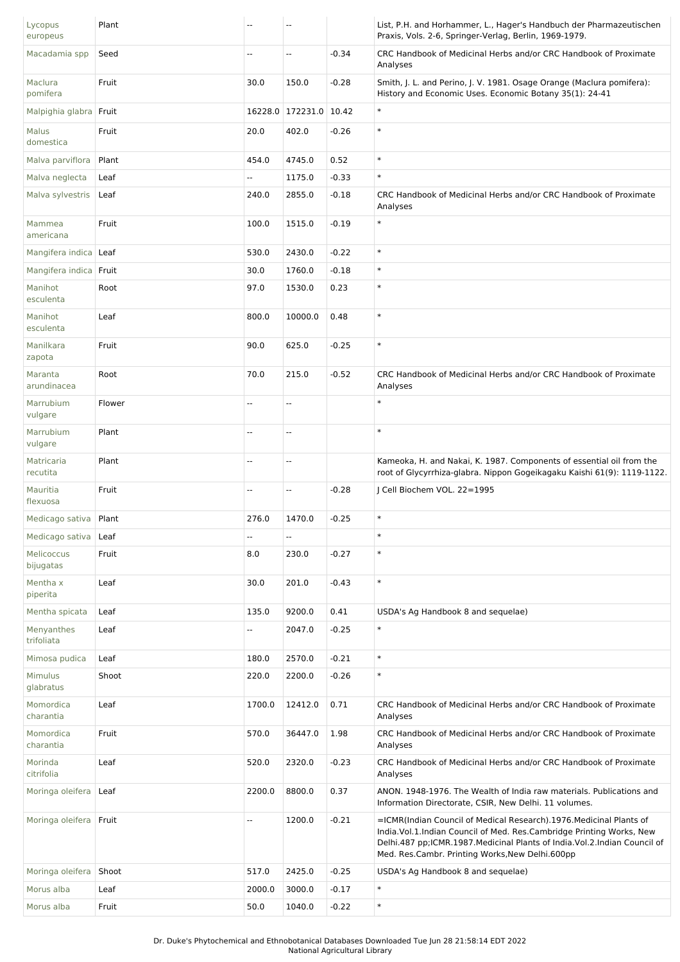| Lycopus<br>europeus      | Plant  | --     | --                       |         | List, P.H. and Horhammer, L., Hager's Handbuch der Pharmazeutischen<br>Praxis, Vols. 2-6, Springer-Verlag, Berlin, 1969-1979.                                                                                                                                                  |
|--------------------------|--------|--------|--------------------------|---------|--------------------------------------------------------------------------------------------------------------------------------------------------------------------------------------------------------------------------------------------------------------------------------|
| Macadamia spp            | Seed   | --     | --                       | $-0.34$ | CRC Handbook of Medicinal Herbs and/or CRC Handbook of Proximate<br>Analyses                                                                                                                                                                                                   |
| Maclura<br>pomifera      | Fruit  | 30.0   | 150.0                    | $-0.28$ | Smith, J. L. and Perino, J. V. 1981. Osage Orange (Maclura pomifera):<br>History and Economic Uses. Economic Botany 35(1): 24-41                                                                                                                                               |
| Malpighia glabra Fruit   |        |        | 16228.0 172231.0 10.42   |         | $\ast$                                                                                                                                                                                                                                                                         |
| Malus<br>domestica       | Fruit  | 20.0   | 402.0                    | $-0.26$ | $\ast$                                                                                                                                                                                                                                                                         |
| Malva parviflora         | Plant  | 454.0  | 4745.0                   | 0.52    | $\ast$                                                                                                                                                                                                                                                                         |
| Malva neglecta           | Leaf   | Щ.     | 1175.0                   | $-0.33$ | $\ast$                                                                                                                                                                                                                                                                         |
| Malva sylvestris         | Leaf   | 240.0  | 2855.0                   | $-0.18$ | CRC Handbook of Medicinal Herbs and/or CRC Handbook of Proximate<br>Analyses                                                                                                                                                                                                   |
| Mammea<br>americana      | Fruit  | 100.0  | 1515.0                   | $-0.19$ | $\ast$                                                                                                                                                                                                                                                                         |
| Mangifera indica   Leaf  |        | 530.0  | 2430.0                   | $-0.22$ | $\ast$                                                                                                                                                                                                                                                                         |
| Mangifera indica Fruit   |        | 30.0   | 1760.0                   | $-0.18$ | $\ast$                                                                                                                                                                                                                                                                         |
| Manihot<br>esculenta     | Root   | 97.0   | 1530.0                   | 0.23    | $\ast$                                                                                                                                                                                                                                                                         |
| Manihot<br>esculenta     | Leaf   | 800.0  | 10000.0                  | 0.48    | $\ast$                                                                                                                                                                                                                                                                         |
| Manilkara<br>zapota      | Fruit  | 90.0   | 625.0                    | $-0.25$ | $\ast$                                                                                                                                                                                                                                                                         |
| Maranta<br>arundinacea   | Root   | 70.0   | 215.0                    | $-0.52$ | CRC Handbook of Medicinal Herbs and/or CRC Handbook of Proximate<br>Analyses                                                                                                                                                                                                   |
| Marrubium<br>vulgare     | Flower | --     | Ξ.                       |         | $\ast$                                                                                                                                                                                                                                                                         |
| Marrubium<br>vulgare     | Plant  | --     | Ξ.                       |         | $\ast$                                                                                                                                                                                                                                                                         |
| Matricaria<br>recutita   | Plant  | --     | $\overline{\phantom{a}}$ |         | Kameoka, H. and Nakai, K. 1987. Components of essential oil from the<br>root of Glycyrrhiza-glabra. Nippon Gogeikagaku Kaishi 61(9): 1119-1122.                                                                                                                                |
| Mauritia<br>flexuosa     | Fruit  | --     | --                       | $-0.28$ | J Cell Biochem VOL. 22=1995                                                                                                                                                                                                                                                    |
| Medicago sativa          | Plant  | 276.0  | 1470.0                   | $-0.25$ | $\ast$                                                                                                                                                                                                                                                                         |
| Medicago sativa          | Leaf   | Ξ.     | Ξ.                       |         | $\ast$                                                                                                                                                                                                                                                                         |
| Melicoccus<br>bijugatas  | Fruit  | 8.0    | 230.0                    | $-0.27$ | $\ast$                                                                                                                                                                                                                                                                         |
| Mentha x<br>piperita     | Leaf   | 30.0   | 201.0                    | $-0.43$ | $\ast$                                                                                                                                                                                                                                                                         |
| Mentha spicata           | Leaf   | 135.0  | 9200.0                   | 0.41    | USDA's Ag Handbook 8 and sequelae)                                                                                                                                                                                                                                             |
| Menyanthes<br>trifoliata | Leaf   | --     | 2047.0                   | $-0.25$ | $\ast$                                                                                                                                                                                                                                                                         |
| Mimosa pudica            | Leaf   | 180.0  | 2570.0                   | $-0.21$ | $\ast$                                                                                                                                                                                                                                                                         |
| Mimulus<br>glabratus     | Shoot  | 220.0  | 2200.0                   | $-0.26$ | $\ast$                                                                                                                                                                                                                                                                         |
| Momordica<br>charantia   | Leaf   | 1700.0 | 12412.0                  | 0.71    | CRC Handbook of Medicinal Herbs and/or CRC Handbook of Proximate<br>Analyses                                                                                                                                                                                                   |
| Momordica<br>charantia   | Fruit  | 570.0  | 36447.0                  | 1.98    | CRC Handbook of Medicinal Herbs and/or CRC Handbook of Proximate<br>Analyses                                                                                                                                                                                                   |
| Morinda<br>citrifolia    | Leaf   | 520.0  | 2320.0                   | $-0.23$ | CRC Handbook of Medicinal Herbs and/or CRC Handbook of Proximate<br>Analyses                                                                                                                                                                                                   |
| Moringa oleifera         | Leaf   | 2200.0 | 8800.0                   | 0.37    | ANON. 1948-1976. The Wealth of India raw materials. Publications and<br>Information Directorate, CSIR, New Delhi. 11 volumes.                                                                                                                                                  |
| Moringa oleifera Fruit   |        | --     | 1200.0                   | $-0.21$ | =ICMR(Indian Council of Medical Research).1976. Medicinal Plants of<br>India. Vol. 1. Indian Council of Med. Res. Cambridge Printing Works, New<br>Delhi.487 pp;ICMR.1987.Medicinal Plants of India.Vol.2.Indian Council of<br>Med. Res.Cambr. Printing Works, New Delhi.600pp |
| Moringa oleifera         | Shoot  | 517.0  | 2425.0                   | $-0.25$ | USDA's Ag Handbook 8 and sequelae)                                                                                                                                                                                                                                             |
| Morus alba               | Leaf   | 2000.0 | 3000.0                   | $-0.17$ | $\ast$                                                                                                                                                                                                                                                                         |
| Morus alba               | Fruit  | 50.0   | 1040.0                   | $-0.22$ | $\ast$                                                                                                                                                                                                                                                                         |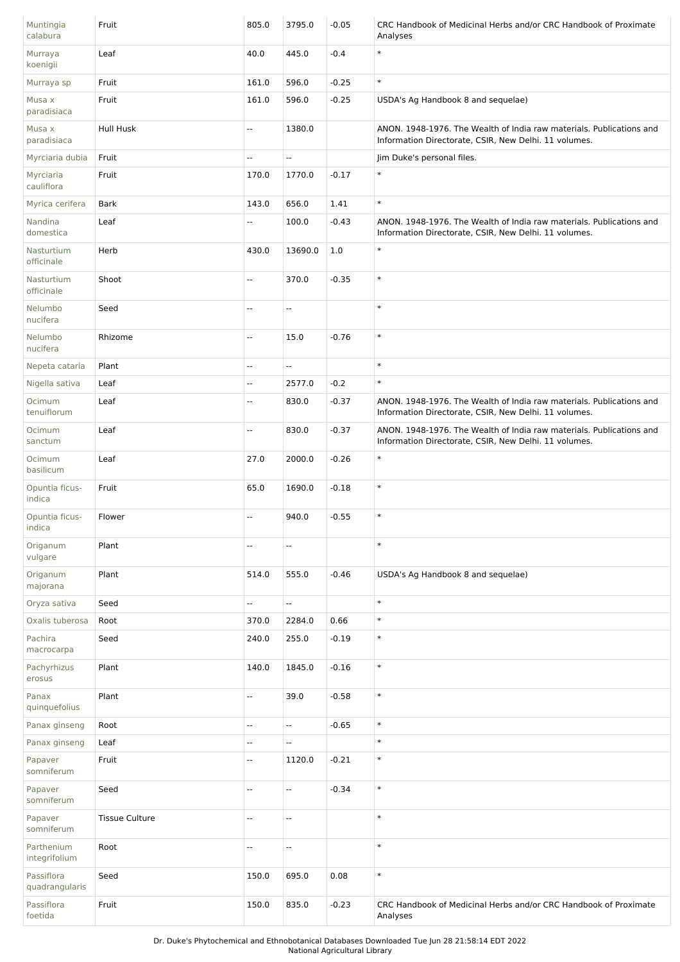| Muntingia<br>calabura        | Fruit                 | 805.0                    | 3795.0  | $-0.05$ | CRC Handbook of Medicinal Herbs and/or CRC Handbook of Proximate<br>Analyses                                                  |
|------------------------------|-----------------------|--------------------------|---------|---------|-------------------------------------------------------------------------------------------------------------------------------|
| Murraya<br>koenigii          | Leaf                  | 40.0                     | 445.0   | $-0.4$  | $\ast$                                                                                                                        |
| Murraya sp                   | Fruit                 | 161.0                    | 596.0   | $-0.25$ | $\ast$                                                                                                                        |
| Musa x<br>paradisiaca        | Fruit                 | 161.0                    | 596.0   | $-0.25$ | USDA's Ag Handbook 8 and sequelae)                                                                                            |
| Musa x<br>paradisiaca        | Hull Husk             | Ξ.                       | 1380.0  |         | ANON. 1948-1976. The Wealth of India raw materials. Publications and<br>Information Directorate, CSIR, New Delhi. 11 volumes. |
| Myrciaria dubia              | Fruit                 | Ξ.                       | Ξ.      |         | Jim Duke's personal files.                                                                                                    |
| Myrciaria<br>cauliflora      | Fruit                 | 170.0                    | 1770.0  | $-0.17$ | $\ast$                                                                                                                        |
| Myrica cerifera              | <b>Bark</b>           | 143.0                    | 656.0   | 1.41    | $\ast$                                                                                                                        |
| Nandina<br>domestica         | Leaf                  | Щ,                       | 100.0   | $-0.43$ | ANON. 1948-1976. The Wealth of India raw materials. Publications and<br>Information Directorate, CSIR, New Delhi. 11 volumes. |
| Nasturtium<br>officinale     | Herb                  | 430.0                    | 13690.0 | 1.0     | $\ast$                                                                                                                        |
| Nasturtium<br>officinale     | Shoot                 | Ξ.                       | 370.0   | $-0.35$ | $\ast$                                                                                                                        |
| Nelumbo<br>nucifera          | Seed                  | Ξ.                       | Ξ.      |         | $\ast$                                                                                                                        |
| Nelumbo<br>nucifera          | Rhizome               | Щ.                       | 15.0    | $-0.76$ | $\ast$                                                                                                                        |
| Nepeta cataria               | Plant                 | Щ,                       | ц.      |         | $\ast$                                                                                                                        |
| Nigella sativa               | Leaf                  | 4                        | 2577.0  | $-0.2$  | $\ast$                                                                                                                        |
| Ocimum<br>tenuiflorum        | Leaf                  | Ξ.                       | 830.0   | $-0.37$ | ANON. 1948-1976. The Wealth of India raw materials. Publications and<br>Information Directorate, CSIR, New Delhi. 11 volumes. |
| Ocimum<br>sanctum            | Leaf                  | --                       | 830.0   | $-0.37$ | ANON. 1948-1976. The Wealth of India raw materials. Publications and<br>Information Directorate, CSIR, New Delhi. 11 volumes. |
| Ocimum<br>basilicum          | Leaf                  | 27.0                     | 2000.0  | $-0.26$ | $\ast$                                                                                                                        |
| Opuntia ficus-<br>indica     | Fruit                 | 65.0                     | 1690.0  | $-0.18$ | $\ast$                                                                                                                        |
| Opuntia ficus-<br>indica     | Flower                | Щ,                       | 940.0   | $-0.55$ | $\ast$                                                                                                                        |
| Origanum<br>vulgare          | Plant                 | --                       | --      |         | $\ast$                                                                                                                        |
| Origanum<br>majorana         | Plant                 | 514.0                    | 555.0   | $-0.46$ | USDA's Ag Handbook 8 and sequelae)                                                                                            |
| Oryza sativa                 | Seed                  | Ξ.                       | Ξ.      |         | $\ast$                                                                                                                        |
| Oxalis tuberosa              | Root                  | 370.0                    | 2284.0  | 0.66    | $\ast$                                                                                                                        |
| Pachira<br>macrocarpa        | Seed                  | 240.0                    | 255.0   | $-0.19$ | $\ast$                                                                                                                        |
| Pachyrhizus<br>erosus        | Plant                 | 140.0                    | 1845.0  | $-0.16$ | $\ast$                                                                                                                        |
| Panax<br>quinquefolius       | Plant                 | Ξ.                       | 39.0    | $-0.58$ | $\ast$                                                                                                                        |
| Panax ginseng                | Root                  | --                       | Ξ.      | $-0.65$ | $\ast$                                                                                                                        |
| Panax ginseng                | Leaf                  | $\overline{\phantom{a}}$ | Ξ.      |         | $\ast$                                                                                                                        |
| Papaver<br>somniferum        | Fruit                 | Ξ.                       | 1120.0  | $-0.21$ | $\ast$                                                                                                                        |
| Papaver<br>somniferum        | Seed                  | Ξ.                       | Ξ.      | $-0.34$ | $\ast$                                                                                                                        |
| Papaver<br>somniferum        | <b>Tissue Culture</b> | Щ,                       | Ξ.      |         | $\ast$                                                                                                                        |
| Parthenium<br>integrifolium  | Root                  | $\overline{\phantom{a}}$ | --      |         | $\ast$                                                                                                                        |
| Passiflora<br>quadrangularis | Seed                  | 150.0                    | 695.0   | 0.08    | $\ast$                                                                                                                        |
| Passiflora<br>foetida        | Fruit                 | 150.0                    | 835.0   | $-0.23$ | CRC Handbook of Medicinal Herbs and/or CRC Handbook of Proximate<br>Analyses                                                  |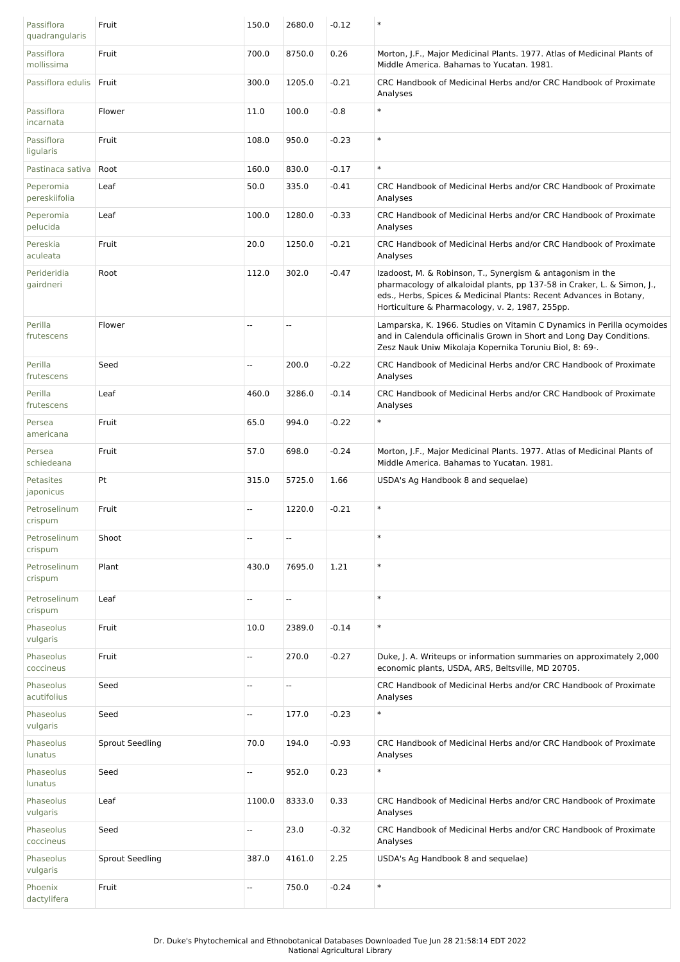| Passiflora<br>quadrangularis | Fruit                  | 150.0  | 2680.0                   | $-0.12$ | $\ast$                                                                                                                                                                                                                                                         |
|------------------------------|------------------------|--------|--------------------------|---------|----------------------------------------------------------------------------------------------------------------------------------------------------------------------------------------------------------------------------------------------------------------|
| Passiflora<br>mollissima     | Fruit                  | 700.0  | 8750.0                   | 0.26    | Morton, J.F., Major Medicinal Plants. 1977. Atlas of Medicinal Plants of<br>Middle America. Bahamas to Yucatan. 1981.                                                                                                                                          |
| Passiflora edulis            | Fruit                  | 300.0  | 1205.0                   | $-0.21$ | CRC Handbook of Medicinal Herbs and/or CRC Handbook of Proximate<br>Analyses                                                                                                                                                                                   |
| Passiflora<br>incarnata      | Flower                 | 11.0   | 100.0                    | $-0.8$  | $\ast$                                                                                                                                                                                                                                                         |
| Passiflora<br>ligularis      | Fruit                  | 108.0  | 950.0                    | $-0.23$ | $\ast$                                                                                                                                                                                                                                                         |
| Pastinaca sativa             | Root                   | 160.0  | 830.0                    | $-0.17$ | $\ast$                                                                                                                                                                                                                                                         |
| Peperomia<br>pereskiifolia   | Leaf                   | 50.0   | 335.0                    | $-0.41$ | CRC Handbook of Medicinal Herbs and/or CRC Handbook of Proximate<br>Analyses                                                                                                                                                                                   |
| Peperomia<br>pelucida        | Leaf                   | 100.0  | 1280.0                   | $-0.33$ | CRC Handbook of Medicinal Herbs and/or CRC Handbook of Proximate<br>Analyses                                                                                                                                                                                   |
| Pereskia<br>aculeata         | Fruit                  | 20.0   | 1250.0                   | $-0.21$ | CRC Handbook of Medicinal Herbs and/or CRC Handbook of Proximate<br>Analyses                                                                                                                                                                                   |
| Perideridia<br>gairdneri     | Root                   | 112.0  | 302.0                    | $-0.47$ | Izadoost, M. & Robinson, T., Synergism & antagonism in the<br>pharmacology of alkaloidal plants, pp 137-58 in Craker, L. & Simon, J.,<br>eds., Herbs, Spices & Medicinal Plants: Recent Advances in Botany,<br>Horticulture & Pharmacology, v. 2, 1987, 255pp. |
| Perilla<br>frutescens        | Flower                 | ۵.     | $\overline{a}$           |         | Lamparska, K. 1966. Studies on Vitamin C Dynamics in Perilla ocymoides<br>and in Calendula officinalis Grown in Short and Long Day Conditions.<br>Zesz Nauk Uniw Mikolaja Kopernika Toruniu Biol, 8: 69-.                                                      |
| Perilla<br>frutescens        | Seed                   | Ξ.     | 200.0                    | $-0.22$ | CRC Handbook of Medicinal Herbs and/or CRC Handbook of Proximate<br>Analyses                                                                                                                                                                                   |
| Perilla<br>frutescens        | Leaf                   | 460.0  | 3286.0                   | $-0.14$ | CRC Handbook of Medicinal Herbs and/or CRC Handbook of Proximate<br>Analyses                                                                                                                                                                                   |
| Persea<br>americana          | Fruit                  | 65.0   | 994.0                    | $-0.22$ | $\ast$                                                                                                                                                                                                                                                         |
| Persea<br>schiedeana         | Fruit                  | 57.0   | 698.0                    | $-0.24$ | Morton, J.F., Major Medicinal Plants. 1977. Atlas of Medicinal Plants of<br>Middle America. Bahamas to Yucatan. 1981.                                                                                                                                          |
| Petasites<br>japonicus       | Pt                     | 315.0  | 5725.0                   | 1.66    | USDA's Ag Handbook 8 and sequelae)                                                                                                                                                                                                                             |
| Petroselinum<br>crispum      | Fruit                  | Щ,     | 1220.0                   | $-0.21$ | $\ast$                                                                                                                                                                                                                                                         |
| Petroselinum<br>crispum      | Shoot                  | --     | --                       |         | $\ast$                                                                                                                                                                                                                                                         |
| Petroselinum<br>crispum      | Plant                  | 430.0  | 7695.0                   | 1.21    | $\ast$                                                                                                                                                                                                                                                         |
| Petroselinum<br>crispum      | Leaf                   | --     | $\overline{\phantom{a}}$ |         | $\ast$                                                                                                                                                                                                                                                         |
| Phaseolus<br>vulgaris        | Fruit                  | 10.0   | 2389.0                   | $-0.14$ | $\ast$                                                                                                                                                                                                                                                         |
| Phaseolus<br>coccineus       | Fruit                  | Ξ.     | 270.0                    | $-0.27$ | Duke, J. A. Writeups or information summaries on approximately 2,000<br>economic plants, USDA, ARS, Beltsville, MD 20705.                                                                                                                                      |
| Phaseolus<br>acutifolius     | Seed                   | --     | Ξ.                       |         | CRC Handbook of Medicinal Herbs and/or CRC Handbook of Proximate<br>Analyses                                                                                                                                                                                   |
| Phaseolus<br>vulgaris        | Seed                   | --     | 177.0                    | $-0.23$ | $\ast$                                                                                                                                                                                                                                                         |
| Phaseolus<br>lunatus         | <b>Sprout Seedling</b> | 70.0   | 194.0                    | $-0.93$ | CRC Handbook of Medicinal Herbs and/or CRC Handbook of Proximate<br>Analyses                                                                                                                                                                                   |
| Phaseolus<br>lunatus         | Seed                   | Ξ.     | 952.0                    | 0.23    | $\ast$                                                                                                                                                                                                                                                         |
| Phaseolus<br>vulgaris        | Leaf                   | 1100.0 | 8333.0                   | 0.33    | CRC Handbook of Medicinal Herbs and/or CRC Handbook of Proximate<br>Analyses                                                                                                                                                                                   |
| Phaseolus<br>coccineus       | Seed                   | Щ,     | 23.0                     | $-0.32$ | CRC Handbook of Medicinal Herbs and/or CRC Handbook of Proximate<br>Analyses                                                                                                                                                                                   |
| Phaseolus<br>vulgaris        | Sprout Seedling        | 387.0  | 4161.0                   | 2.25    | USDA's Ag Handbook 8 and sequelae)                                                                                                                                                                                                                             |
| Phoenix<br>dactylifera       | Fruit                  | --     | 750.0                    | $-0.24$ | $\ast$                                                                                                                                                                                                                                                         |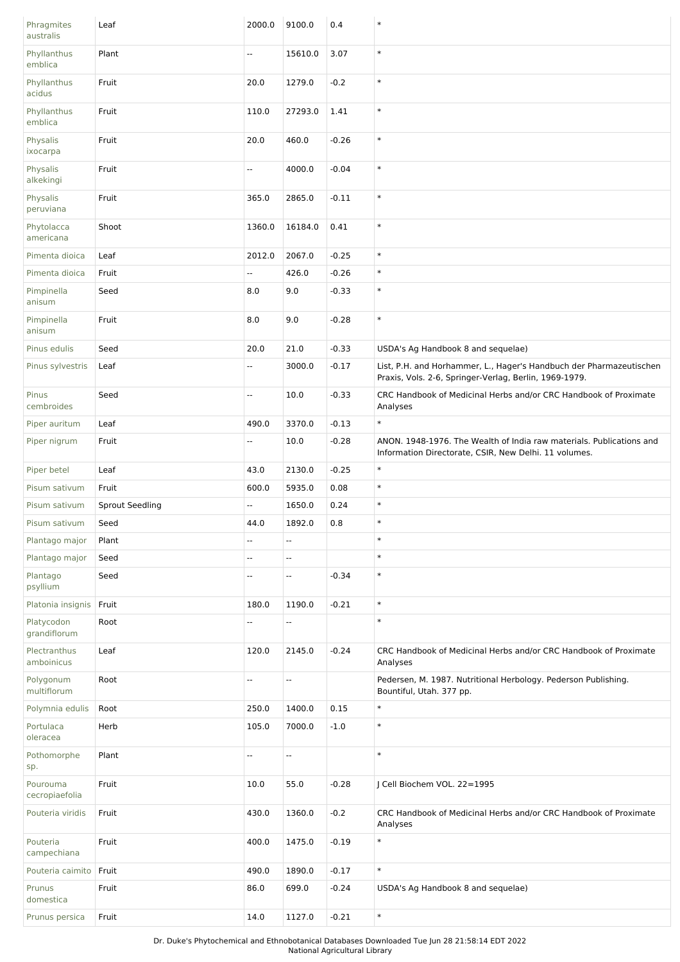| Phragmites<br>australis    | Leaf                   | 2000.0                   | 9100.0                   | 0.4     | $\ast$                                                                                                                        |
|----------------------------|------------------------|--------------------------|--------------------------|---------|-------------------------------------------------------------------------------------------------------------------------------|
| Phyllanthus<br>emblica     | Plant                  | Ξ.                       | 15610.0                  | 3.07    | $\ast$                                                                                                                        |
| Phyllanthus<br>acidus      | Fruit                  | 20.0                     | 1279.0                   | $-0.2$  | $\ast$                                                                                                                        |
| Phyllanthus<br>emblica     | Fruit                  | 110.0                    | 27293.0                  | 1.41    | $\ast$                                                                                                                        |
| Physalis<br>ixocarpa       | Fruit                  | 20.0                     | 460.0                    | $-0.26$ | $\ast$                                                                                                                        |
| Physalis<br>alkekingi      | Fruit                  | --                       | 4000.0                   | $-0.04$ | $\ast$                                                                                                                        |
| Physalis<br>peruviana      | Fruit                  | 365.0                    | 2865.0                   | $-0.11$ | $\ast$                                                                                                                        |
| Phytolacca<br>americana    | Shoot                  | 1360.0                   | 16184.0                  | 0.41    | $\ast$                                                                                                                        |
| Pimenta dioica             | Leaf                   | 2012.0                   | 2067.0                   | $-0.25$ | $\ast$                                                                                                                        |
| Pimenta dioica             | Fruit                  | Щ.                       | 426.0                    | $-0.26$ | $\ast$                                                                                                                        |
| Pimpinella<br>anisum       | Seed                   | 8.0                      | 9.0                      | $-0.33$ | $\ast$                                                                                                                        |
| Pimpinella<br>anisum       | Fruit                  | 8.0                      | 9.0                      | $-0.28$ | $\ast$                                                                                                                        |
| Pinus edulis               | Seed                   | 20.0                     | 21.0                     | $-0.33$ | USDA's Ag Handbook 8 and sequelae)                                                                                            |
| Pinus sylvestris           | Leaf                   | Ξ.                       | 3000.0                   | $-0.17$ | List, P.H. and Horhammer, L., Hager's Handbuch der Pharmazeutischen<br>Praxis, Vols. 2-6, Springer-Verlag, Berlin, 1969-1979. |
| Pinus<br>cembroides        | Seed                   | Ξ.                       | 10.0                     | $-0.33$ | CRC Handbook of Medicinal Herbs and/or CRC Handbook of Proximate<br>Analyses                                                  |
| Piper auritum              | Leaf                   | 490.0                    | 3370.0                   | $-0.13$ | $\ast$                                                                                                                        |
| Piper nigrum               | Fruit                  | Щ.                       | 10.0                     | $-0.28$ | ANON. 1948-1976. The Wealth of India raw materials. Publications and<br>Information Directorate, CSIR, New Delhi. 11 volumes. |
| Piper betel                | Leaf                   | 43.0                     | 2130.0                   | $-0.25$ | $\ast$                                                                                                                        |
| Pisum sativum              | Fruit                  | 600.0                    | 5935.0                   | 0.08    | $\ast$                                                                                                                        |
|                            |                        |                          |                          |         |                                                                                                                               |
| Pisum sativum              | <b>Sprout Seedling</b> | ۰.                       | 1650.0                   | 0.24    | $\ast$                                                                                                                        |
| Pisum sativum              | Seed                   | 44.0                     | 1892.0                   | 0.8     | $\ast$                                                                                                                        |
| Plantago major             | Plant                  | u.                       | ш,                       |         | $\ast$                                                                                                                        |
| Plantago major             | Seed                   | ۰.                       | --                       |         | $\ast$                                                                                                                        |
| Plantago<br>psyllium       | Seed                   | $\overline{\phantom{a}}$ | Ξ.                       | $-0.34$ | $\ast$                                                                                                                        |
| Platonia insignis          | Fruit                  | 180.0                    | 1190.0                   | $-0.21$ | $\ast$                                                                                                                        |
| Platycodon<br>grandiflorum | Root                   | --                       | --                       |         | $\ast$                                                                                                                        |
| Plectranthus<br>amboinicus | Leaf                   | 120.0                    | 2145.0                   | $-0.24$ | CRC Handbook of Medicinal Herbs and/or CRC Handbook of Proximate<br>Analyses                                                  |
| Polygonum<br>multiflorum   | Root                   | --                       | $\overline{\phantom{a}}$ |         | Pedersen, M. 1987. Nutritional Herbology. Pederson Publishing.<br>Bountiful, Utah. 377 pp.                                    |
| Polymnia edulis            | Root                   | 250.0                    | 1400.0                   | 0.15    | $\ast$                                                                                                                        |
| Portulaca<br>oleracea      | Herb                   | 105.0                    | 7000.0                   | $-1.0$  | $\ast$                                                                                                                        |
| Pothomorphe<br>sp.         | Plant                  | --                       | 4                        |         | $\ast$                                                                                                                        |
| Pourouma<br>cecropiaefolia | Fruit                  | 10.0                     | 55.0                     | $-0.28$ | J Cell Biochem VOL. 22=1995                                                                                                   |
| Pouteria viridis           | Fruit                  | 430.0                    | 1360.0                   | $-0.2$  | CRC Handbook of Medicinal Herbs and/or CRC Handbook of Proximate<br>Analyses                                                  |
| Pouteria<br>campechiana    | Fruit                  | 400.0                    | 1475.0                   | $-0.19$ | $\ast$                                                                                                                        |
| Pouteria caimito           | Fruit                  | 490.0                    | 1890.0                   | $-0.17$ | $\ast$                                                                                                                        |
| Prunus<br>domestica        | Fruit                  | 86.0                     | 699.0                    | $-0.24$ | USDA's Ag Handbook 8 and sequelae)                                                                                            |

Dr. Duke's Phytochemical and Ethnobotanical Databases Downloaded Tue Jun 28 21:58:14 EDT 2022 National Agricultural Library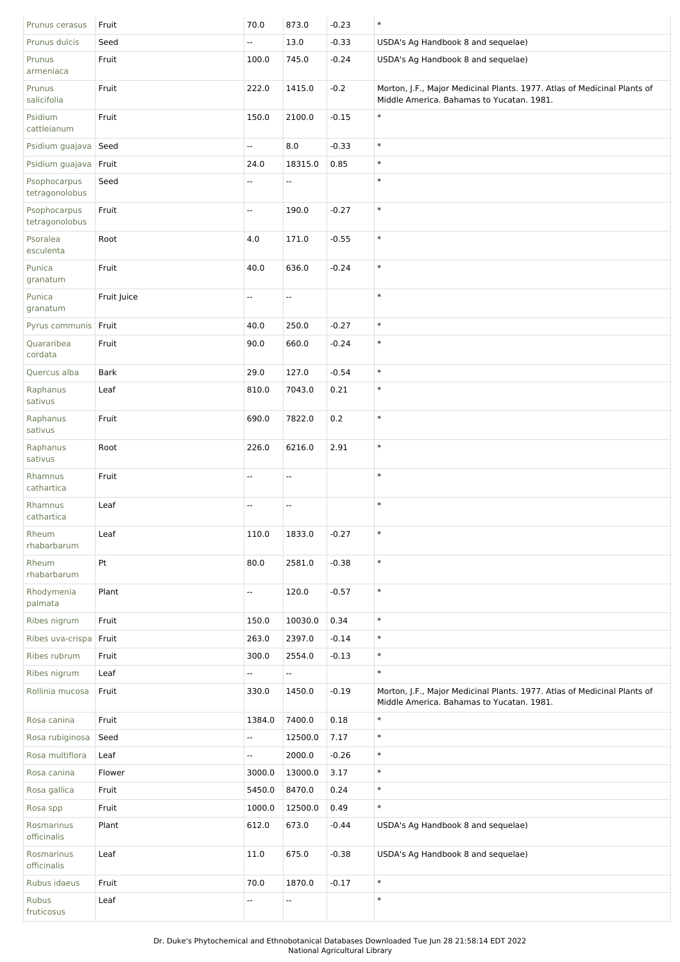| Prunus cerasus                 | Fruit       | 70.0   | 873.0                    | $-0.23$ | $\ast$                                                                                                                |
|--------------------------------|-------------|--------|--------------------------|---------|-----------------------------------------------------------------------------------------------------------------------|
| Prunus dulcis                  | Seed        | Ξ.     | 13.0                     | $-0.33$ | USDA's Ag Handbook 8 and sequelae)                                                                                    |
| Prunus<br>armeniaca            | Fruit       | 100.0  | 745.0                    | $-0.24$ | USDA's Ag Handbook 8 and sequelae)                                                                                    |
| Prunus<br>salicifolia          | Fruit       | 222.0  | 1415.0                   | $-0.2$  | Morton, J.F., Major Medicinal Plants. 1977. Atlas of Medicinal Plants of<br>Middle America. Bahamas to Yucatan. 1981. |
| Psidium<br>cattleianum         | Fruit       | 150.0  | 2100.0                   | $-0.15$ | $\ast$                                                                                                                |
| Psidium guajava                | Seed        | Щ,     | 8.0                      | $-0.33$ | $\ast$                                                                                                                |
| Psidium guajava                | Fruit       | 24.0   | 18315.0                  | 0.85    | $\ast$                                                                                                                |
| Psophocarpus<br>tetragonolobus | Seed        | --     | --                       |         | $\ast$                                                                                                                |
| Psophocarpus<br>tetragonolobus | Fruit       | --     | 190.0                    | $-0.27$ | $\ast$                                                                                                                |
| Psoralea<br>esculenta          | Root        | 4.0    | 171.0                    | $-0.55$ | $\ast$                                                                                                                |
| Punica<br>granatum             | Fruit       | 40.0   | 636.0                    | $-0.24$ | $\ast$                                                                                                                |
| Punica<br>granatum             | Fruit Juice | Ξ.     | $\overline{\phantom{a}}$ |         | $\ast$                                                                                                                |
| Pyrus communis                 | Fruit       | 40.0   | 250.0                    | $-0.27$ | $\ast$                                                                                                                |
| Quararibea<br>cordata          | Fruit       | 90.0   | 660.0                    | $-0.24$ | $\ast$                                                                                                                |
| Quercus alba                   | <b>Bark</b> | 29.0   | 127.0                    | $-0.54$ | $\ast$                                                                                                                |
| Raphanus<br>sativus            | Leaf        | 810.0  | 7043.0                   | 0.21    | $\ast$                                                                                                                |
| Raphanus<br>sativus            | Fruit       | 690.0  | 7822.0                   | $0.2\,$ | $\ast$                                                                                                                |
| Raphanus<br>sativus            | Root        | 226.0  | 6216.0                   | 2.91    | $\ast$                                                                                                                |
| Rhamnus<br>cathartica          | Fruit       | Ξ.     | Ξ.                       |         | $\ast$                                                                                                                |
| Rhamnus<br>cathartica          | Leaf        | --     | --                       |         | $\ast$                                                                                                                |
| Rheum<br>rhabarbarum           | Leaf        | 110.0  | 1833.0                   | -0.27   |                                                                                                                       |
| Rheum<br>rhabarbarum           | Pt          | 80.0   | 2581.0                   | $-0.38$ | $\ast$                                                                                                                |
| Rhodymenia<br>palmata          | Plant       | Ξ.     | 120.0                    | $-0.57$ | $\ast$                                                                                                                |
| Ribes nigrum                   | Fruit       | 150.0  | 10030.0                  | 0.34    | $\ast$                                                                                                                |
| Ribes uva-crispa               | Fruit       | 263.0  | 2397.0                   | $-0.14$ | $\ast$                                                                                                                |
| Ribes rubrum                   | Fruit       | 300.0  | 2554.0                   | $-0.13$ | $\ast$                                                                                                                |
| Ribes nigrum                   | Leaf        | Ξ.     | Ξ.                       |         | $\ast$                                                                                                                |
| Rollinia mucosa                | Fruit       | 330.0  | 1450.0                   | $-0.19$ | Morton, J.F., Major Medicinal Plants. 1977. Atlas of Medicinal Plants of<br>Middle America. Bahamas to Yucatan. 1981. |
| Rosa canina                    | Fruit       | 1384.0 | 7400.0                   | 0.18    | $\ast$                                                                                                                |
| Rosa rubiginosa                | Seed        | Ξ.     | 12500.0                  | 7.17    | $\ast$                                                                                                                |
| Rosa multiflora                | Leaf        | Ξ.     | 2000.0                   | $-0.26$ | $\ast$                                                                                                                |
| Rosa canina                    | Flower      | 3000.0 | 13000.0                  | 3.17    | $\ast$                                                                                                                |
| Rosa gallica                   | Fruit       | 5450.0 | 8470.0                   | 0.24    | $\ast$                                                                                                                |
| Rosa spp                       | Fruit       | 1000.0 | 12500.0                  | 0.49    | $\ast$                                                                                                                |
| Rosmarinus<br>officinalis      | Plant       | 612.0  | 673.0                    | $-0.44$ | USDA's Ag Handbook 8 and sequelae)                                                                                    |
| Rosmarinus<br>officinalis      | Leaf        | 11.0   | 675.0                    | $-0.38$ | USDA's Ag Handbook 8 and sequelae)                                                                                    |
| Rubus idaeus                   | Fruit       | 70.0   | 1870.0                   | $-0.17$ | $\ast$                                                                                                                |
| Rubus<br>fruticosus            | Leaf        | Ξ.     | Ξ.                       |         | $\ast$                                                                                                                |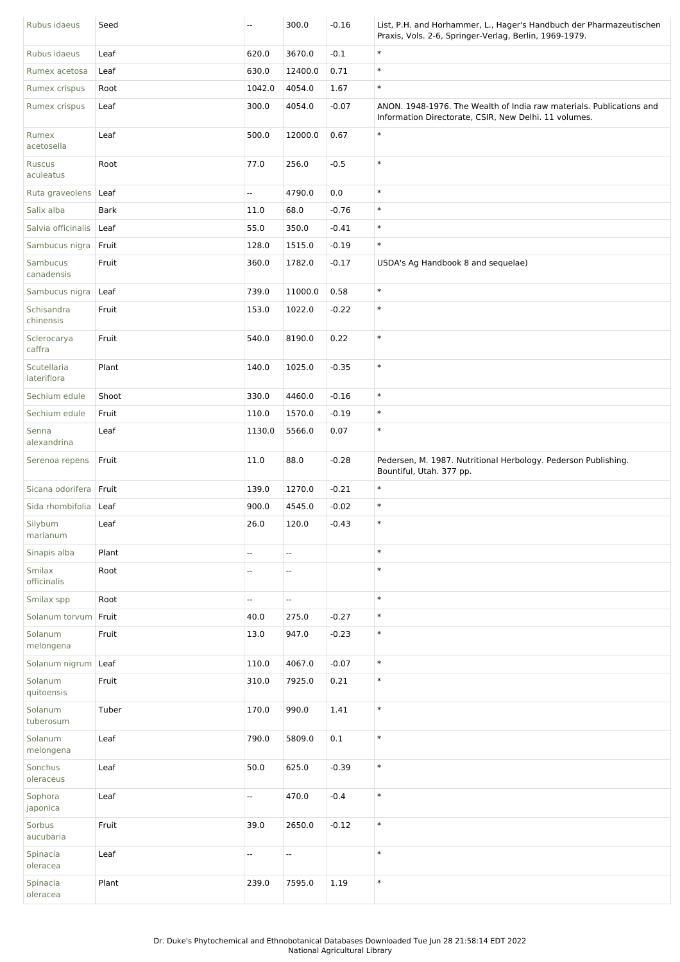| Rubus idaeus               | Seed        | $\overline{\phantom{a}}$ | 300.0                    | $-0.16$ | List, P.H. and Horhammer, L., Hager's Handbuch der Pharmazeutischen<br>Praxis, Vols. 2-6, Springer-Verlag, Berlin, 1969-1979. |
|----------------------------|-------------|--------------------------|--------------------------|---------|-------------------------------------------------------------------------------------------------------------------------------|
| Rubus idaeus               | Leaf        | 620.0                    | 3670.0                   | $-0.1$  | $\ast$                                                                                                                        |
| Rumex acetosa              | Leaf        | 630.0                    | 12400.0                  | 0.71    | $\ast$                                                                                                                        |
| Rumex crispus              | Root        | 1042.0                   | 4054.0                   | 1.67    | $\ast$                                                                                                                        |
| Rumex crispus              | Leaf        | 300.0                    | 4054.0                   | $-0.07$ | ANON. 1948-1976. The Wealth of India raw materials. Publications and<br>Information Directorate, CSIR, New Delhi. 11 volumes. |
| Rumex<br>acetosella        | Leaf        | 500.0                    | 12000.0                  | 0.67    | $\ast$                                                                                                                        |
| Ruscus<br>aculeatus        | Root        | 77.0                     | 256.0                    | $-0.5$  | $\ast$                                                                                                                        |
| Ruta graveolens            | Leaf        | Ξ.                       | 4790.0                   | 0.0     | $\ast$                                                                                                                        |
| Salix alba                 | <b>Bark</b> | 11.0                     | 68.0                     | $-0.76$ | $\ast$                                                                                                                        |
| Salvia officinalis         | Leaf        | 55.0                     | 350.0                    | $-0.41$ | $\ast$                                                                                                                        |
| Sambucus nigra             | Fruit       | 128.0                    | 1515.0                   | $-0.19$ | $\ast$                                                                                                                        |
| Sambucus<br>canadensis     | Fruit       | 360.0                    | 1782.0                   | $-0.17$ | USDA's Ag Handbook 8 and sequelae)                                                                                            |
| Sambucus nigra             | Leaf        | 739.0                    | 11000.0                  | 0.58    | $\ast$                                                                                                                        |
| Schisandra<br>chinensis    | Fruit       | 153.0                    | 1022.0                   | $-0.22$ | $\ast$                                                                                                                        |
| Sclerocarya<br>caffra      | Fruit       | 540.0                    | 8190.0                   | 0.22    | $\ast$                                                                                                                        |
| Scutellaria<br>lateriflora | Plant       | 140.0                    | 1025.0                   | $-0.35$ | $\ast$                                                                                                                        |
| Sechium edule              | Shoot       | 330.0                    | 4460.0                   | $-0.16$ | $\ast$                                                                                                                        |
| Sechium edule              | Fruit       | 110.0                    | 1570.0                   | $-0.19$ | $\ast$                                                                                                                        |
| Senna<br>alexandrina       | Leaf        | 1130.0                   | 5566.0                   | 0.07    | $\ast$                                                                                                                        |
| Serenoa repens             | Fruit       | 11.0                     | 88.0                     | $-0.28$ | Pedersen, M. 1987. Nutritional Herbology. Pederson Publishing.<br>Bountiful, Utah. 377 pp.                                    |
| Sicana odorifera           | Fruit       | 139.0                    | 1270.0                   | $-0.21$ | $\ast$                                                                                                                        |
| Sida rhombifolia           | Leaf        | 900.0                    | 4545.0                   | $-0.02$ | $\ast$                                                                                                                        |
| Silybum<br>marianum        | Leaf        | 26.0                     | 120.0                    | $-0.43$ | $\ast$                                                                                                                        |
| Sinapis alba               | Plant       | $\overline{\phantom{a}}$ | Ξ.                       |         | $\ast$                                                                                                                        |
| Smilax<br>officinalis      | Root        | $\overline{a}$           | $\overline{a}$           |         | $\ast$                                                                                                                        |
| Smilax spp                 | Root        | Ξ.                       | u.                       |         | $\ast$                                                                                                                        |
| Solanum torvum             | Fruit       | 40.0                     | 275.0                    | $-0.27$ | $\ast$                                                                                                                        |
| Solanum<br>melongena       | Fruit       | 13.0                     | 947.0                    | $-0.23$ | $\ast$                                                                                                                        |
| Solanum nigrum             | Leaf        | 110.0                    | 4067.0                   | $-0.07$ | $\ast$                                                                                                                        |
| Solanum<br>quitoensis      | Fruit       | 310.0                    | 7925.0                   | 0.21    | $\ast$                                                                                                                        |
| Solanum<br>tuberosum       | Tuber       | 170.0                    | 990.0                    | 1.41    | $\ast$                                                                                                                        |
| Solanum<br>melongena       | Leaf        | 790.0                    | 5809.0                   | 0.1     | $\ast$                                                                                                                        |
| Sonchus<br>oleraceus       | Leaf        | 50.0                     | 625.0                    | $-0.39$ | $\ast$                                                                                                                        |
| Sophora<br>japonica        | Leaf        | u.                       | 470.0                    | $-0.4$  | $\ast$                                                                                                                        |
| Sorbus<br>aucubaria        | Fruit       | 39.0                     | 2650.0                   | $-0.12$ | $\ast$                                                                                                                        |
| Spinacia<br>oleracea       | Leaf        | $\overline{\phantom{a}}$ | $\overline{\phantom{a}}$ |         | $\ast$                                                                                                                        |
| Spinacia<br>oleracea       | Plant       | 239.0                    | 7595.0                   | 1.19    | $\ast$                                                                                                                        |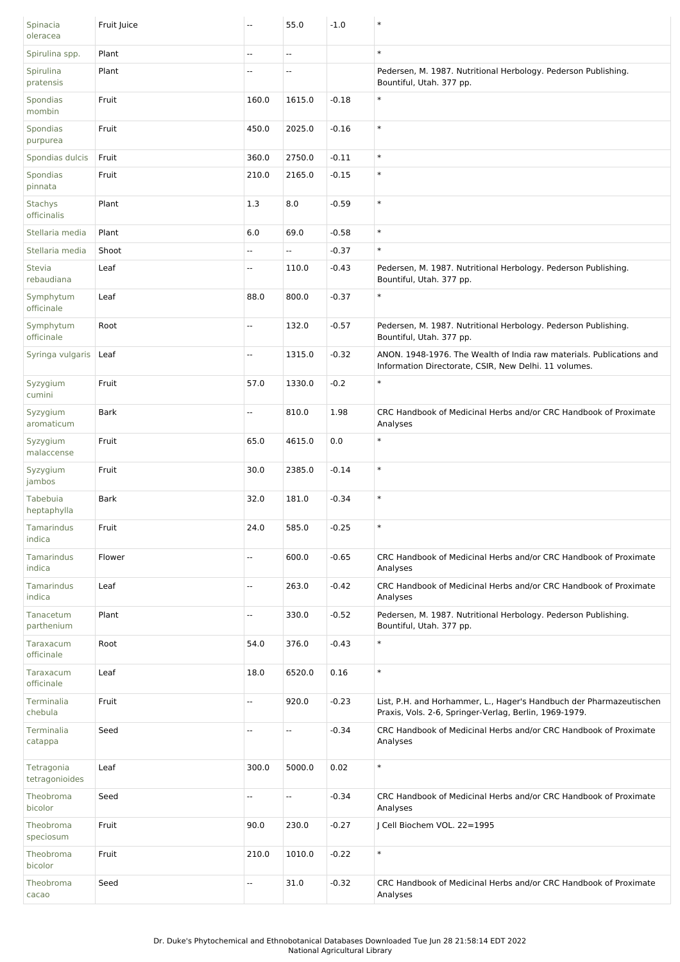| Spinacia<br>oleracea         | Fruit Juice | --    | 55.0   | $-1.0$  | $\ast$                                                                                                                        |
|------------------------------|-------------|-------|--------|---------|-------------------------------------------------------------------------------------------------------------------------------|
| Spirulina spp.               | Plant       | --    | --     |         | $\ast$                                                                                                                        |
| Spirulina<br>pratensis       | Plant       | Ξ.    | Ξ.     |         | Pedersen, M. 1987. Nutritional Herbology. Pederson Publishing.<br>Bountiful, Utah. 377 pp.                                    |
| Spondias<br>mombin           | Fruit       | 160.0 | 1615.0 | $-0.18$ | $\ast$                                                                                                                        |
| Spondias<br>purpurea         | Fruit       | 450.0 | 2025.0 | $-0.16$ | $\ast$                                                                                                                        |
| Spondias dulcis              | Fruit       | 360.0 | 2750.0 | $-0.11$ | $\ast$                                                                                                                        |
| Spondias<br>pinnata          | Fruit       | 210.0 | 2165.0 | $-0.15$ | $\ast$                                                                                                                        |
| Stachys<br>officinalis       | Plant       | 1.3   | 8.0    | $-0.59$ | $\ast$                                                                                                                        |
| Stellaria media              | Plant       | 6.0   | 69.0   | $-0.58$ | $\ast$                                                                                                                        |
| Stellaria media              | Shoot       | --    | --     | $-0.37$ | $\ast$                                                                                                                        |
| <b>Stevia</b><br>rebaudiana  | Leaf        | Ξ.    | 110.0  | $-0.43$ | Pedersen, M. 1987. Nutritional Herbology. Pederson Publishing.<br>Bountiful, Utah. 377 pp.                                    |
| Symphytum<br>officinale      | Leaf        | 88.0  | 800.0  | $-0.37$ | $\ast$                                                                                                                        |
| Symphytum<br>officinale      | Root        | Ξ.    | 132.0  | $-0.57$ | Pedersen, M. 1987. Nutritional Herbology. Pederson Publishing.<br>Bountiful, Utah. 377 pp.                                    |
| Syringa vulgaris             | Leaf        | щ.    | 1315.0 | $-0.32$ | ANON. 1948-1976. The Wealth of India raw materials. Publications and<br>Information Directorate, CSIR, New Delhi. 11 volumes. |
| Syzygium<br>cumini           | Fruit       | 57.0  | 1330.0 | $-0.2$  | $\ast$                                                                                                                        |
| Syzygium<br>aromaticum       | <b>Bark</b> | u.    | 810.0  | 1.98    | CRC Handbook of Medicinal Herbs and/or CRC Handbook of Proximate<br>Analyses                                                  |
| Syzygium<br>malaccense       | Fruit       | 65.0  | 4615.0 | 0.0     | $\ast$                                                                                                                        |
| Syzygium<br>jambos           | Fruit       | 30.0  | 2385.0 | $-0.14$ | $\ast$                                                                                                                        |
| Tabebuia<br>heptaphylla      | <b>Bark</b> | 32.0  | 181.0  | $-0.34$ | $\ast$                                                                                                                        |
| Tamarindus<br>indica         | Fruit       | 24.0  | 585.0  | $-0.25$ | $\ast$                                                                                                                        |
| Tamarindus<br>indica         | Flower      | --    | 600.0  | $-0.65$ | CRC Handbook of Medicinal Herbs and/or CRC Handbook of Proximate<br>Analyses                                                  |
| Tamarindus<br>indica         | Leaf        | --    | 263.0  | $-0.42$ | CRC Handbook of Medicinal Herbs and/or CRC Handbook of Proximate<br>Analyses                                                  |
| Tanacetum<br>parthenium      | Plant       | --    | 330.0  | $-0.52$ | Pedersen, M. 1987. Nutritional Herbology. Pederson Publishing.<br>Bountiful, Utah. 377 pp.                                    |
| Taraxacum<br>officinale      | Root        | 54.0  | 376.0  | $-0.43$ | $\ast$                                                                                                                        |
| Taraxacum<br>officinale      | Leaf        | 18.0  | 6520.0 | 0.16    | $\ast$                                                                                                                        |
| Terminalia<br>chebula        | Fruit       | --    | 920.0  | $-0.23$ | List, P.H. and Horhammer, L., Hager's Handbuch der Pharmazeutischen<br>Praxis, Vols. 2-6, Springer-Verlag, Berlin, 1969-1979. |
| Terminalia<br>catappa        | Seed        | --    | --     | $-0.34$ | CRC Handbook of Medicinal Herbs and/or CRC Handbook of Proximate<br>Analyses                                                  |
| Tetragonia<br>tetragonioides | Leaf        | 300.0 | 5000.0 | 0.02    | $\ast$                                                                                                                        |
| Theobroma<br>bicolor         | Seed        | Щ,    | u.     | $-0.34$ | CRC Handbook of Medicinal Herbs and/or CRC Handbook of Proximate<br>Analyses                                                  |
| Theobroma<br>speciosum       | Fruit       | 90.0  | 230.0  | $-0.27$ | J Cell Biochem VOL. 22=1995                                                                                                   |
| Theobroma<br>bicolor         | Fruit       | 210.0 | 1010.0 | $-0.22$ | $\ast$                                                                                                                        |
| Theobroma<br>cacao           | Seed        | --    | 31.0   | $-0.32$ | CRC Handbook of Medicinal Herbs and/or CRC Handbook of Proximate<br>Analyses                                                  |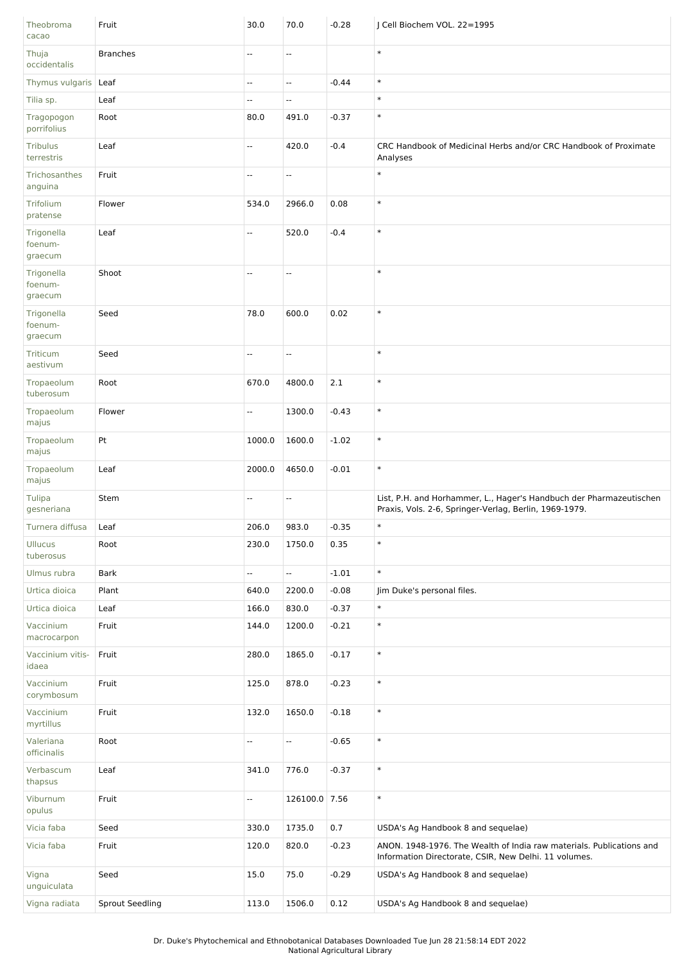| Theobroma<br>cacao               | Fruit                  | 30.0   | 70.0                     | $-0.28$ | J Cell Biochem VOL. 22=1995                                                                                                   |
|----------------------------------|------------------------|--------|--------------------------|---------|-------------------------------------------------------------------------------------------------------------------------------|
| Thuja<br>occidentalis            | <b>Branches</b>        | --     | Ξ.                       |         | $\ast$                                                                                                                        |
| Thymus vulgaris Leaf             |                        | Ξ.     | Ξ.                       | $-0.44$ | $\ast$                                                                                                                        |
| Tilia sp.                        | Leaf                   | --     | --                       |         | $\ast$                                                                                                                        |
| Tragopogon<br>porrifolius        | Root                   | 80.0   | 491.0                    | $-0.37$ | $\ast$                                                                                                                        |
| <b>Tribulus</b><br>terrestris    | Leaf                   | L.     | 420.0                    | $-0.4$  | CRC Handbook of Medicinal Herbs and/or CRC Handbook of Proximate<br>Analyses                                                  |
| Trichosanthes<br>anguina         | Fruit                  | --     | --                       |         | $\ast$                                                                                                                        |
| Trifolium<br>pratense            | Flower                 | 534.0  | 2966.0                   | 0.08    | $\ast$                                                                                                                        |
| Trigonella<br>foenum-<br>graecum | Leaf                   | --     | 520.0                    | $-0.4$  | $\ast$                                                                                                                        |
| Trigonella<br>foenum-<br>graecum | Shoot                  | u.     | $\mathbf{u}$             |         | $\ast$                                                                                                                        |
| Trigonella<br>foenum-<br>graecum | Seed                   | 78.0   | 600.0                    | 0.02    | $\ast$                                                                                                                        |
| Triticum<br>aestivum             | Seed                   | Ξ.     | u.                       |         | $\ast$                                                                                                                        |
| Tropaeolum<br>tuberosum          | Root                   | 670.0  | 4800.0                   | 2.1     | $\ast$                                                                                                                        |
| Tropaeolum<br>majus              | Flower                 | --     | 1300.0                   | $-0.43$ | $\ast$                                                                                                                        |
| Tropaeolum<br>majus              | Pt                     | 1000.0 | 1600.0                   | $-1.02$ | $\ast$                                                                                                                        |
| Tropaeolum<br>majus              | Leaf                   | 2000.0 | 4650.0                   | $-0.01$ | $\ast$                                                                                                                        |
| Tulipa<br>gesneriana             | Stem                   | --     | ۰.                       |         | List, P.H. and Horhammer, L., Hager's Handbuch der Pharmazeutischen<br>Praxis, Vols. 2-6, Springer-Verlag, Berlin, 1969-1979. |
| Turnera diffusa                  | Leaf                   | 206.0  | 983.0                    | $-0.35$ | $\ast$                                                                                                                        |
| <b>Ullucus</b><br>tuberosus      | Root                   | 230.0  | 1750.0                   | 0.35    | $\ast$                                                                                                                        |
| Ulmus rubra                      | <b>Bark</b>            | Ξ.     | Ξ.                       | $-1.01$ | $\ast$                                                                                                                        |
| Urtica dioica                    | Plant                  | 640.0  | 2200.0                   | $-0.08$ | Jim Duke's personal files.                                                                                                    |
| Urtica dioica                    | Leaf                   | 166.0  | 830.0                    | $-0.37$ | $\ast$                                                                                                                        |
| Vaccinium<br>macrocarpon         | Fruit                  | 144.0  | 1200.0                   | $-0.21$ | $\ast$                                                                                                                        |
| Vaccinium vitis-<br>idaea        | Fruit                  | 280.0  | 1865.0                   | $-0.17$ | $\ast$                                                                                                                        |
| Vaccinium<br>corymbosum          | Fruit                  | 125.0  | 878.0                    | $-0.23$ | $\ast$                                                                                                                        |
| Vaccinium<br>myrtillus           | Fruit                  | 132.0  | 1650.0                   | $-0.18$ | $\ast$                                                                                                                        |
| Valeriana<br>officinalis         | Root                   | Ξ.     | $\overline{\phantom{a}}$ | $-0.65$ | $\ast$                                                                                                                        |
| Verbascum<br>thapsus             | Leaf                   | 341.0  | 776.0                    | $-0.37$ | $\ast$                                                                                                                        |
| Viburnum<br>opulus               | Fruit                  | Ξ.     | 126100.0 7.56            |         | $\ast$                                                                                                                        |
| Vicia faba                       | Seed                   | 330.0  | 1735.0                   | 0.7     | USDA's Ag Handbook 8 and sequelae)                                                                                            |
| Vicia faba                       | Fruit                  | 120.0  | 820.0                    | $-0.23$ | ANON. 1948-1976. The Wealth of India raw materials. Publications and<br>Information Directorate, CSIR, New Delhi. 11 volumes. |
| Vigna<br>unguiculata             | Seed                   | 15.0   | 75.0                     | $-0.29$ | USDA's Ag Handbook 8 and sequelae)                                                                                            |
| Vigna radiata                    | <b>Sprout Seedling</b> | 113.0  | 1506.0                   | 0.12    | USDA's Ag Handbook 8 and sequelae)                                                                                            |